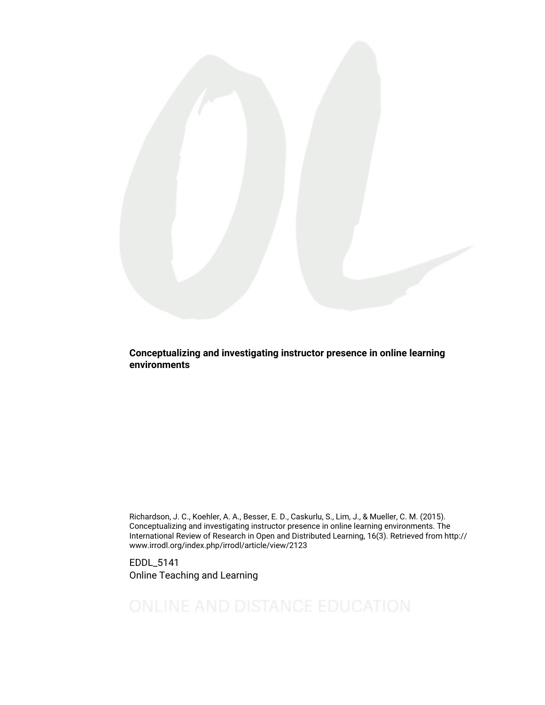

Conceptualizing and investigating instructor presence in online learning environments

Richardson, J. C., Koehler, A. A., Besser, E. D., Caskurlu, S., Lim, J., & Mueller, C. M. (2015). Conceptualizing and investigating instructor presence in online learning environments. The International Review of Research in Open and Distributed Learning, 16(3). Retrieved from http:// www.irrodl.org/index.php/irrodl/article/view/2123

EDDL\_5141 Online Teaching and Learning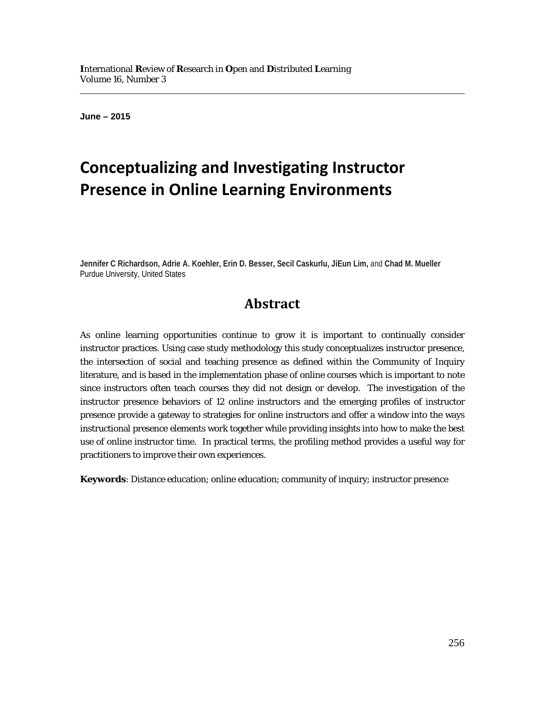l

**June – 2015**

# **Conceptualizing and Investigating Instructor Presence in Online Learning Environments**

**Jennifer C Richardson, Adrie A. Koehler, Erin D. Besser, Secil Caskurlu, JiEun Lim,** and **Chad M. Mueller** Purdue University, United States

## **Abstract**

As online learning opportunities continue to grow it is important to continually consider instructor practices. Using case study methodology this study conceptualizes instructor presence, the intersection of social and teaching presence as defined within the Community of Inquiry literature, and is based in the implementation phase of online courses which is important to note since instructors often teach courses they did not design or develop. The investigation of the instructor presence behaviors of 12 online instructors and the emerging profiles of instructor presence provide a gateway to strategies for online instructors and offer a window into the ways instructional presence elements work together while providing insights into how to make the best use of online instructor time. In practical terms, the profiling method provides a useful way for practitioners to improve their own experiences.

**Keywords**: Distance education; online education; community of inquiry; instructor presence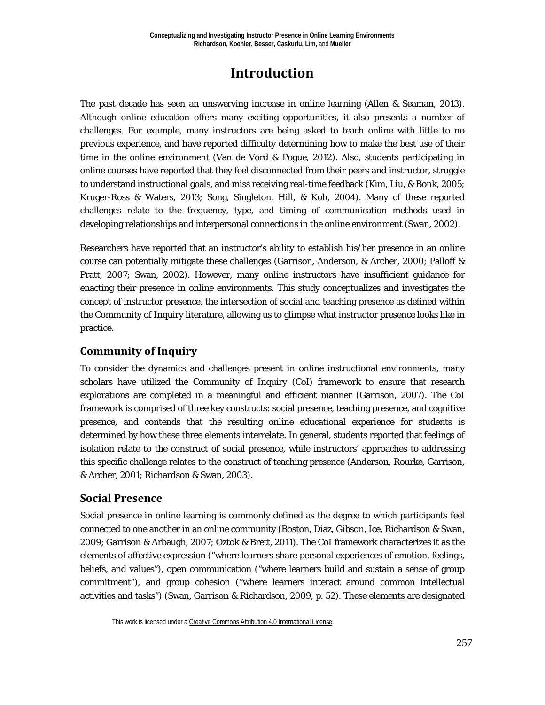## **Introduction**

The past decade has seen an unswerving increase in online learning (Allen & Seaman, 2013). Although online education offers many exciting opportunities, it also presents a number of challenges. For example, many instructors are being asked to teach online with little to no previous experience, and have reported difficulty determining how to make the best use of their time in the online environment (Van de Vord & Pogue, 2012). Also, students participating in online courses have reported that they feel disconnected from their peers and instructor, struggle to understand instructional goals, and miss receiving real-time feedback (Kim, Liu, & Bonk, 2005; Kruger-Ross & Waters, 2013; Song, Singleton, Hill, & Koh, 2004). Many of these reported challenges relate to the frequency, type, and timing of communication methods used in developing relationships and interpersonal connections in the online environment (Swan, 2002).

Researchers have reported that an instructor's ability to establish his/her presence in an online course can potentially mitigate these challenges (Garrison, Anderson, & Archer, 2000; Palloff & Pratt, 2007; Swan, 2002). However, many online instructors have insufficient guidance for enacting their presence in online environments. This study conceptualizes and investigates the concept of instructor presence, the intersection of social and teaching presence as defined within the Community of Inquiry literature, allowing us to glimpse what instructor presence looks like in practice.

## **Community of Inquiry**

To consider the dynamics and challenges present in online instructional environments, many scholars have utilized the Community of Inquiry (CoI) framework to ensure that research explorations are completed in a meaningful and efficient manner (Garrison, 2007). The CoI framework is comprised of three key constructs: social presence, teaching presence, and cognitive presence, and contends that the resulting online educational experience for students is determined by how these three elements interrelate. In general, students reported that feelings of isolation relate to the construct of social presence, while instructors' approaches to addressing this specific challenge relates to the construct of teaching presence (Anderson, Rourke, Garrison, & Archer, 2001; Richardson & Swan, 2003).

## **Social Presence**

Social presence in online learning is commonly defined as the degree to which participants feel connected to one another in an online community (Boston, Diaz, Gibson, Ice, Richardson & Swan, 2009; Garrison & Arbaugh, 2007; Oztok & Brett, 2011). The CoI framework characterizes it as the elements of affective expression ("where learners share personal experiences of emotion, feelings, beliefs, and values"), open communication ("where learners build and sustain a sense of group commitment"), and group cohesion ("where learners interact around common intellectual activities and tasks") (Swan, Garrison & Richardson, 2009, p. 52). These elements are designated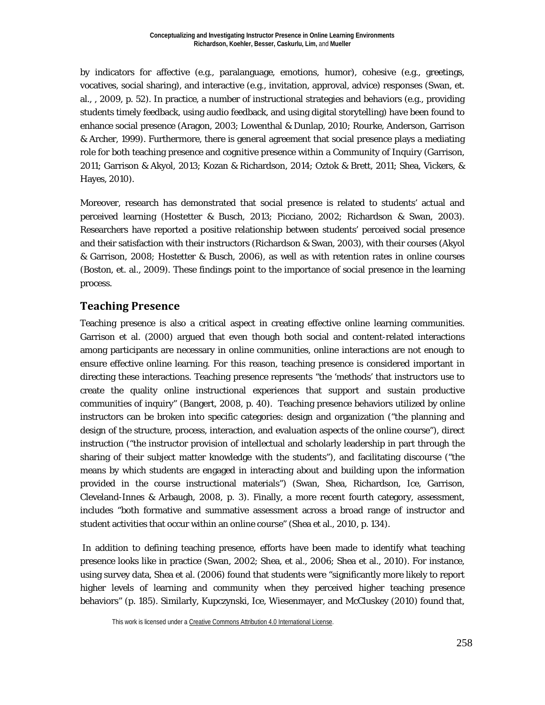by indicators for affective (e.g., paralanguage, emotions, humor), cohesive (e.g., greetings, vocatives, social sharing), and interactive (e.g., invitation, approval, advice) responses (Swan, et. al., , 2009, p. 52). In practice, a number of instructional strategies and behaviors (e.g., providing students timely feedback, using audio feedback, and using digital storytelling) have been found to enhance social presence (Aragon, 2003; Lowenthal & Dunlap, 2010; Rourke, Anderson, Garrison & Archer, 1999). Furthermore, there is general agreement that social presence plays a mediating role for both teaching presence and cognitive presence within a Community of Inquiry (Garrison, 2011; Garrison & Akyol, 2013; Kozan & Richardson, 2014; Oztok & Brett, 2011; Shea, Vickers, & Hayes, 2010).

Moreover, research has demonstrated that social presence is related to students' actual and perceived learning (Hostetter & Busch, 2013; Picciano, 2002; Richardson & Swan, 2003). Researchers have reported a positive relationship between students' perceived social presence and their satisfaction with their instructors (Richardson & Swan, 2003), with their courses (Akyol & Garrison, 2008; Hostetter & Busch, 2006), as well as with retention rates in online courses (Boston, et. al., 2009). These findings point to the importance of social presence in the learning process.

## **Teaching Presence**

Teaching presence is also a critical aspect in creating effective online learning communities. Garrison et al. (2000) argued that even though both social and content-related interactions among participants are necessary in online communities, online interactions are not enough to ensure effective online learning. For this reason, teaching presence is considered important in directing these interactions. Teaching presence represents "the 'methods' that instructors use to create the quality online instructional experiences that support and sustain productive communities of inquiry" (Bangert, 2008, p. 40). Teaching presence behaviors utilized by online instructors can be broken into specific categories: design and organization ("the planning and design of the structure, process, interaction, and evaluation aspects of the online course"), direct instruction ("the instructor provision of intellectual and scholarly leadership in part through the sharing of their subject matter knowledge with the students"), and facilitating discourse ("the means by which students are engaged in interacting about and building upon the information provided in the course instructional materials") (Swan, Shea, Richardson, Ice, Garrison, Cleveland-Innes & Arbaugh, 2008, p. 3). Finally, a more recent fourth category, assessment, includes "both formative and summative assessment across a broad range of instructor and student activities that occur within an online course" (Shea et al., 2010, p. 134).

In addition to defining teaching presence, efforts have been made to identify what teaching presence looks like in practice (Swan, 2002; Shea, et al., 2006; Shea et al., 2010). For instance, using survey data, Shea et al. (2006) found that students were "significantly more likely to report higher levels of learning and community when they perceived higher teaching presence behaviors" (p. 185). Similarly, Kupczynski, Ice, Wiesenmayer, and McCluskey (2010) found that,

This work is licensed under [a Creative Commons Attribution 4.0 International License.](http://creativecommons.org/licenses/by/4.0/)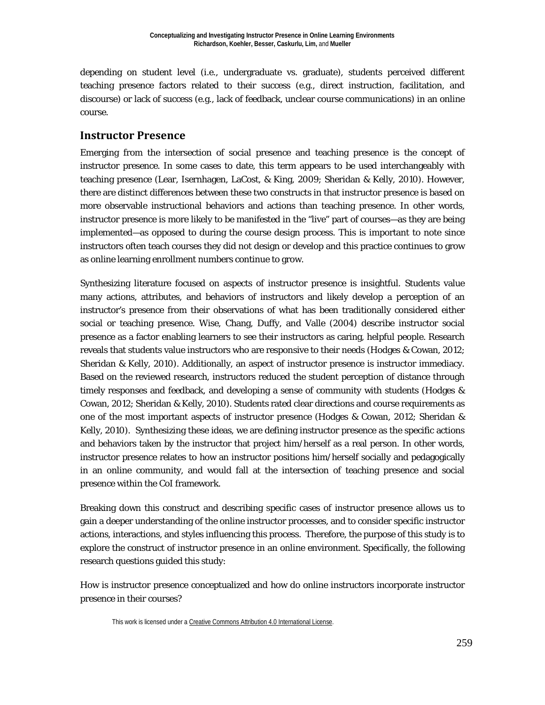depending on student level (i.e., undergraduate vs. graduate), students perceived different teaching presence factors related to their success (e.g., direct instruction, facilitation, and discourse) or lack of success (e.g., lack of feedback, unclear course communications) in an online course.

### **Instructor Presence**

Emerging from the intersection of social presence and teaching presence is the concept of instructor presence. In some cases to date, this term appears to be used interchangeably with teaching presence (Lear, Isernhagen, LaCost, & King, 2009; Sheridan & Kelly, 2010). However, there are distinct differences between these two constructs in that instructor presence is based on more observable instructional behaviors and actions than teaching presence. In other words, instructor presence is more likely to be manifested in the "live" part of courses—as they are being implemented—as opposed to during the course design process. This is important to note since instructors often teach courses they did not design or develop and this practice continues to grow as online learning enrollment numbers continue to grow.

Synthesizing literature focused on aspects of instructor presence is insightful. Students value many actions, attributes, and behaviors of instructors and likely develop a perception of an instructor's presence from their observations of what has been traditionally considered either social or teaching presence. Wise, Chang, Duffy, and Valle (2004) describe instructor social presence as a factor enabling learners to see their instructors as caring, helpful people. Research reveals that students value instructors who are responsive to their needs (Hodges & Cowan, 2012; Sheridan & Kelly, 2010). Additionally, an aspect of instructor presence is instructor immediacy. Based on the reviewed research, instructors reduced the student perception of distance through timely responses and feedback, and developing a sense of community with students (Hodges & Cowan, 2012; Sheridan & Kelly, 2010). Students rated clear directions and course requirements as one of the most important aspects of instructor presence (Hodges & Cowan, 2012; Sheridan & Kelly, 2010). Synthesizing these ideas, we are defining instructor presence as the specific actions and behaviors taken by the instructor that project him/herself as a real person. In other words, instructor presence relates to how an instructor positions him/herself socially and pedagogically in an online community, and would fall at the intersection of teaching presence and social presence within the CoI framework.

Breaking down this construct and describing specific cases of instructor presence allows us to gain a deeper understanding of the online instructor processes, and to consider specific instructor actions, interactions, and styles influencing this process. Therefore, the purpose of this study is to explore the construct of instructor presence in an online environment. Specifically, the following research questions guided this study:

How is instructor presence conceptualized and how do online instructors incorporate instructor presence in their courses?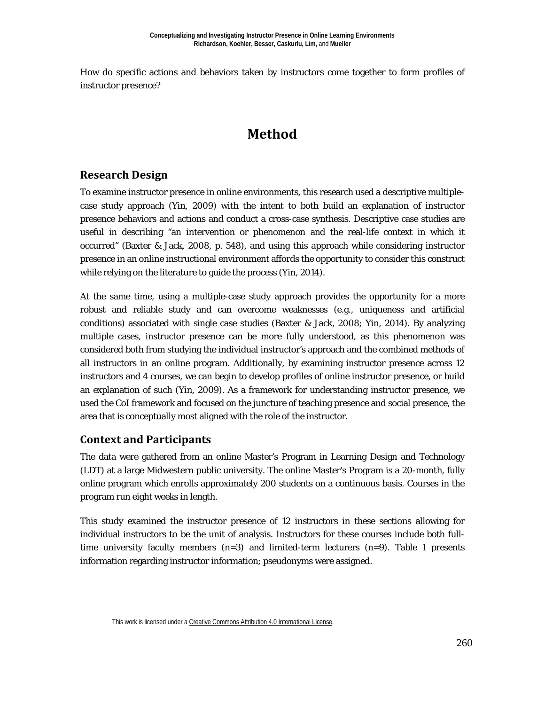How do specific actions and behaviors taken by instructors come together to form profiles of instructor presence?

## **Method**

## **Research Design**

To examine instructor presence in online environments, this research used a descriptive multiplecase study approach (Yin, 2009) with the intent to both build an explanation of instructor presence behaviors and actions and conduct a cross-case synthesis. Descriptive case studies are useful in describing "an intervention or phenomenon and the real-life context in which it occurred" (Baxter & Jack, 2008, p. 548), and using this approach while considering instructor presence in an online instructional environment affords the opportunity to consider this construct while relying on the literature to guide the process (Yin, 2014).

At the same time, using a multiple-case study approach provides the opportunity for a more robust and reliable study and can overcome weaknesses (e.g., uniqueness and artificial conditions) associated with single case studies (Baxter & Jack, 2008; Yin, 2014). By analyzing multiple cases, instructor presence can be more fully understood, as this phenomenon was considered both from studying the individual instructor's approach and the combined methods of all instructors in an online program. Additionally, by examining instructor presence across 12 instructors and 4 courses, we can begin to develop profiles of online instructor presence, or build an explanation of such (Yin, 2009). As a framework for understanding instructor presence, we used the CoI framework and focused on the juncture of teaching presence and social presence, the area that is conceptually most aligned with the role of the instructor.

## **Context and Participants**

The data were gathered from an online Master's Program in Learning Design and Technology (LDT) at a large Midwestern public university. The online Master's Program is a 20-month, fully online program which enrolls approximately 200 students on a continuous basis. Courses in the program run eight weeks in length.

This study examined the instructor presence of 12 instructors in these sections allowing for individual instructors to be the unit of analysis. Instructors for these courses include both fulltime university faculty members  $(n=3)$  and limited-term lecturers  $(n=9)$ . Table 1 presents information regarding instructor information; pseudonyms were assigned.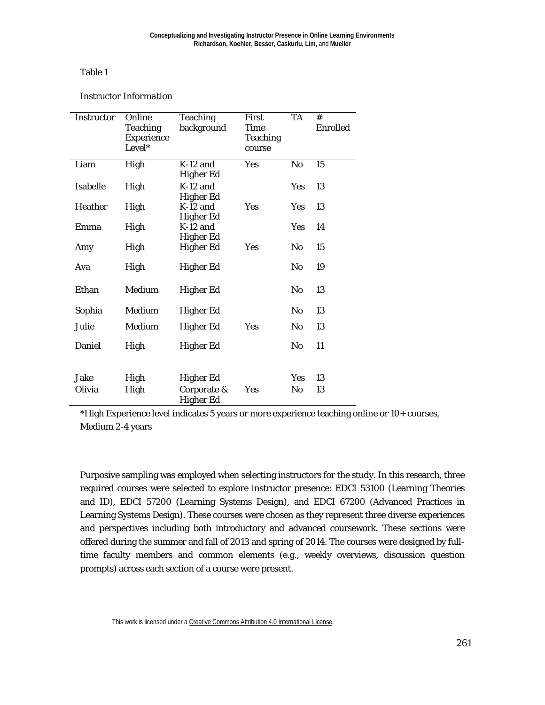#### Table 1

#### *Instructor Information*

| Instructor     | Online<br><b>Teaching</b><br>Experience<br>Level* | <b>Teaching</b><br>background                | First<br><b>Time</b><br><b>Teaching</b><br>course | <b>TA</b>      | #<br><b>Enrolled</b> |
|----------------|---------------------------------------------------|----------------------------------------------|---------------------------------------------------|----------------|----------------------|
| Liam           | High                                              | $K-12$ and<br>Higher Ed                      | <b>Yes</b>                                        | No             | 15                   |
| Isabelle       | High                                              | $K-12$ and<br><b>Higher Ed</b>               |                                                   | <b>Yes</b>     | 13                   |
| Heather        | High                                              | $K-12$ and<br><b>Higher Ed</b>               | Yes                                               | <b>Yes</b>     | 13                   |
| Emma           | High                                              | $K-12$ and<br><b>Higher Ed</b>               |                                                   | <b>Yes</b>     | 14                   |
| Amy            | High                                              | <b>Higher Ed</b>                             | Yes                                               | No             | 15                   |
| Ava            | High                                              | <b>Higher Ed</b>                             |                                                   | No             | 19                   |
| Ethan          | Medium                                            | Higher Ed                                    |                                                   | No             | 13                   |
| Sophia         | Medium                                            | Higher Ed                                    |                                                   | No             | 13                   |
| Julie          | Medium                                            | <b>Higher Ed</b>                             | Yes                                               | N <sub>0</sub> | 13                   |
| Daniel         | High                                              | Higher Ed                                    |                                                   | No             | 11                   |
| Jake<br>Olivia | High<br>High                                      | Higher Ed<br>Corporate &<br><b>Higher Ed</b> | Yes                                               | Yes<br>No      | 13<br>13             |

\*High Experience level indicates 5 years or more experience teaching online or 10+ courses, Medium 2-4 years

Purposive sampling was employed when selecting instructors for the study. In this research, three required courses were selected to explore instructor presence: EDCI 53100 (Learning Theories and ID), EDCI 57200 (Learning Systems Design), and EDCI 67200 (Advanced Practices in Learning Systems Design). These courses were chosen as they represent three diverse experiences and perspectives including both introductory and advanced coursework. These sections were offered during the summer and fall of 2013 and spring of 2014. The courses were designed by fulltime faculty members and common elements (e.g., weekly overviews, discussion question prompts) across each section of a course were present.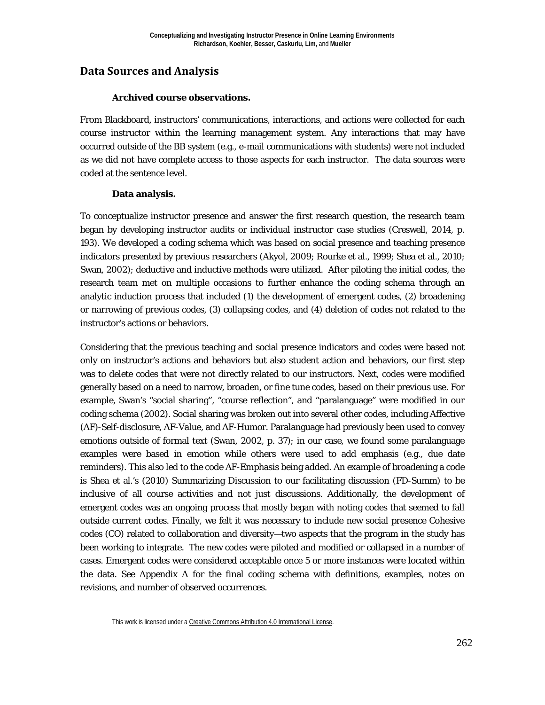## **Data Sources and Analysis**

#### **Archived course observations.**

From Blackboard, instructors' communications, interactions, and actions were collected for each course instructor within the learning management system. Any interactions that may have occurred outside of the BB system (e.g., e-mail communications with students) were not included as we did not have complete access to those aspects for each instructor. The data sources were coded at the sentence level.

#### **Data analysis.**

To conceptualize instructor presence and answer the first research question, the research team began by developing instructor audits or individual instructor case studies (Creswell, 2014, p. 193). We developed a coding schema which was based on social presence and teaching presence indicators presented by previous researchers (Akyol, 2009; Rourke et al., 1999; Shea et al., 2010; Swan, 2002); deductive and inductive methods were utilized. After piloting the initial codes, the research team met on multiple occasions to further enhance the coding schema through an analytic induction process that included (1) the development of emergent codes, (2) broadening or narrowing of previous codes, (3) collapsing codes, and (4) deletion of codes not related to the instructor's actions or behaviors.

Considering that the previous teaching and social presence indicators and codes were based not only on instructor's actions and behaviors but also student action and behaviors, our first step was to delete codes that were not directly related to our instructors. Next, codes were modified generally based on a need to narrow, broaden, or fine tune codes, based on their previous use. For example, Swan's "social sharing", "course reflection", and "paralanguage" were modified in our coding schema (2002). Social sharing was broken out into several other codes, including Affective (AF)-Self-disclosure, AF-Value, and AF-Humor. Paralanguage had previously been used to convey emotions outside of formal text (Swan, 2002, p. 37); in our case, we found some paralanguage examples were based in emotion while others were used to add emphasis (e.g., due date reminders). This also led to the code AF-Emphasis being added. An example of broadening a code is Shea et al.'s (2010) Summarizing Discussion to our facilitating discussion (FD-Summ) to be inclusive of all course activities and not just discussions. Additionally, the development of emergent codes was an ongoing process that mostly began with noting codes that seemed to fall outside current codes. Finally, we felt it was necessary to include new social presence Cohesive codes (CO) related to collaboration and diversity—two aspects that the program in the study has been working to integrate. The new codes were piloted and modified or collapsed in a number of cases. Emergent codes were considered acceptable once 5 or more instances were located within the data. See Appendix A for the final coding schema with definitions, examples, notes on revisions, and number of observed occurrences.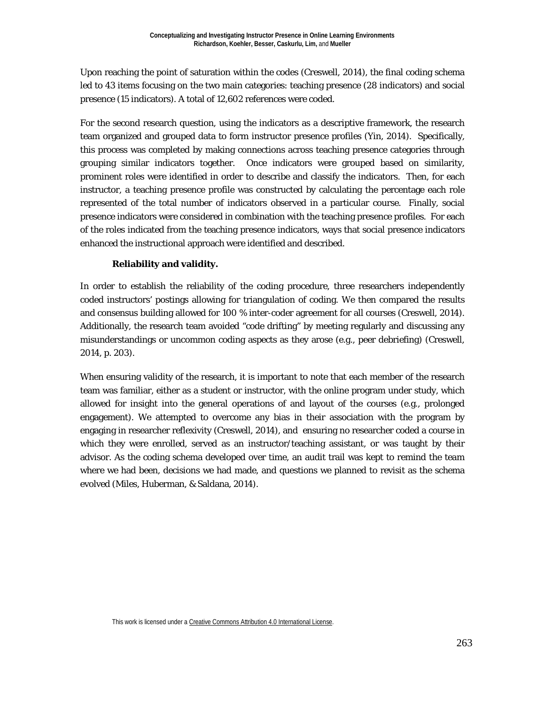Upon reaching the point of saturation within the codes (Creswell, 2014), the final coding schema led to 43 items focusing on the two main categories: teaching presence (28 indicators) and social presence (15 indicators). A total of 12,602 references were coded.

For the second research question, using the indicators as a descriptive framework, the research team organized and grouped data to form instructor presence profiles (Yin, 2014). Specifically, this process was completed by making connections across teaching presence categories through grouping similar indicators together. Once indicators were grouped based on similarity, prominent roles were identified in order to describe and classify the indicators. Then, for each instructor, a teaching presence profile was constructed by calculating the percentage each role represented of the total number of indicators observed in a particular course. Finally, social presence indicators were considered in combination with the teaching presence profiles. For each of the roles indicated from the teaching presence indicators, ways that social presence indicators enhanced the instructional approach were identified and described.

#### **Reliability and validity.**

In order to establish the reliability of the coding procedure, three researchers independently coded instructors' postings allowing for triangulation of coding. We then compared the results and consensus building allowed for 100 % inter-coder agreement for all courses (Creswell, 2014). Additionally, the research team avoided "code drifting" by meeting regularly and discussing any misunderstandings or uncommon coding aspects as they arose (e.g., peer debriefing) (Creswell, 2014, p. 203).

When ensuring validity of the research, it is important to note that each member of the research team was familiar, either as a student or instructor, with the online program under study, which allowed for insight into the general operations of and layout of the courses (e.g., prolonged engagement). We attempted to overcome any bias in their association with the program by engaging in researcher reflexivity (Creswell, 2014), and ensuring no researcher coded a course in which they were enrolled, served as an instructor/teaching assistant, or was taught by their advisor. As the coding schema developed over time, an audit trail was kept to remind the team where we had been, decisions we had made, and questions we planned to revisit as the schema evolved (Miles, Huberman, & Saldana, 2014).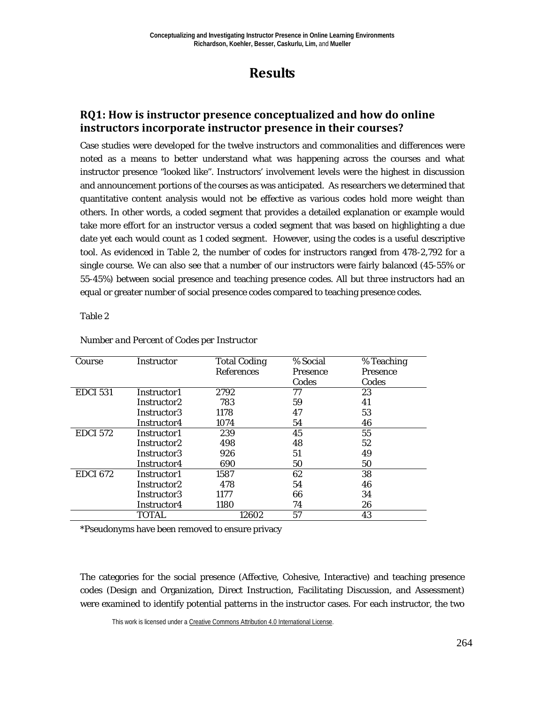## **Results**

## **RQ1: How is instructor presence conceptualized and how do online instructors incorporate instructor presence in their courses?**

Case studies were developed for the twelve instructors and commonalities and differences were noted as a means to better understand what was happening across the courses and what instructor presence "looked like". Instructors' involvement levels were the highest in discussion and announcement portions of the courses as was anticipated. As researchers we determined that quantitative content analysis would not be effective as various codes hold more weight than others. In other words, a coded segment that provides a detailed explanation or example would take more effort for an instructor versus a coded segment that was based on highlighting a due date yet each would count as 1 coded segment. However, using the codes is a useful descriptive tool. As evidenced in Table 2, the number of codes for instructors ranged from 478-2,792 for a single course. We can also see that a number of our instructors were fairly balanced (45-55% or 55-45%) between social presence and teaching presence codes. All but three instructors had an equal or greater number of social presence codes compared to teaching presence codes.

#### Table 2

| Course          | Instructor  | <b>Total Coding</b> | % Social        | % Teaching      |
|-----------------|-------------|---------------------|-----------------|-----------------|
|                 |             | <b>References</b>   | <b>Presence</b> | <b>Presence</b> |
|                 |             |                     | Codes           | Codes           |
| <b>EDCI 531</b> | Instructor1 | 2792                | 77              | 23              |
|                 | Instructor2 | 783                 | 59              | 41              |
|                 | Instructor3 | 1178                | 47              | 53              |
|                 | Instructor4 | 1074                | 54              | 46              |
| <b>EDCI 572</b> | Instructor1 | 239                 | 45              | 55              |
|                 | Instructor2 | 498                 | 48              | 52              |
|                 | Instructor3 | 926                 | 51              | 49              |
|                 | Instructor4 | 690                 | 50              | 50              |
| <b>EDCI 672</b> | Instructor1 | 1587                | 62              | 38              |
|                 | Instructor2 | 478                 | 54              | 46              |
|                 | Instructor3 | 1177                | 66              | 34              |
|                 | Instructor4 | 1180                | 74              | 26              |
|                 | TOTAL       | 12602               | 57              | 43              |

#### *Number and Percent of Codes per Instructor*

\*Pseudonyms have been removed to ensure privacy

The categories for the social presence (Affective, Cohesive, Interactive) and teaching presence codes (Design and Organization, Direct Instruction, Facilitating Discussion, and Assessment) were examined to identify potential patterns in the instructor cases. For each instructor, the two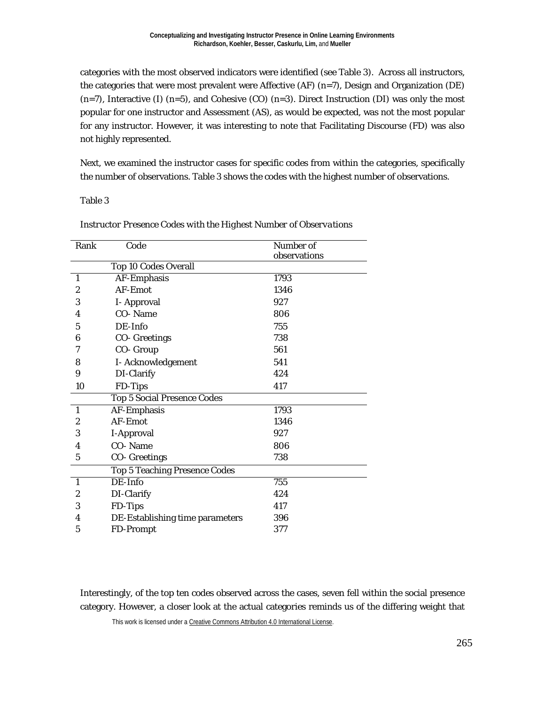categories with the most observed indicators were identified (see Table 3). Across all instructors, the categories that were most prevalent were Affective (AF) (n=7), Design and Organization (DE)  $(n=7)$ , Interactive (I)  $(n=5)$ , and Cohesive (CO)  $(n=3)$ . Direct Instruction (DI) was only the most popular for one instructor and Assessment (AS), as would be expected, was not the most popular for any instructor. However, it was interesting to note that Facilitating Discourse (FD) was also not highly represented.

Next, we examined the instructor cases for specific codes from within the categories, specifically the number of observations. Table 3 shows the codes with the highest number of observations.

#### Table 3

| Rank                    | Code                                 | Number of    |
|-------------------------|--------------------------------------|--------------|
|                         |                                      | observations |
|                         | <b>Top 10 Codes Overall</b>          |              |
| $\mathbf{1}$            | <b>AF-Emphasis</b>                   | 1793         |
| $\boldsymbol{2}$        | AF-Emot                              | 1346         |
| 3                       | I-Approval                           | 927          |
| 4                       | CO-Name                              | 806          |
| 5                       | DE-Info                              | 755          |
| 6                       | <b>CO-</b> Greetings                 | 738          |
| 7                       | CO- Group                            | 561          |
| 8                       | I-Acknowledgement                    | 541          |
| 9                       | DI-Clarify                           | 424          |
| 10                      | FD-Tips                              | 417          |
|                         | <b>Top 5 Social Presence Codes</b>   |              |
| $\mathbf{1}$            | <b>AF-Emphasis</b>                   | 1793         |
| 2                       | AF-Emot                              | 1346         |
| 3                       | I-Approval                           | 927          |
| $\overline{\mathbf{4}}$ | CO-Name                              | 806          |
| $\mathbf 5$             | <b>CO-</b> Greetings                 | 738          |
|                         | <b>Top 5 Teaching Presence Codes</b> |              |
| $\mathbf{1}$            | DE-Info                              | 755          |
| $\boldsymbol{2}$        | DI-Clarify                           | 424          |
| 3                       | FD-Tips                              | 417          |
| 4                       | DE-Establishing time parameters      | 396          |
| 5                       | <b>FD-Prompt</b>                     | 377          |

*Instructor Presence Codes with the Highest Number of Observations*

Interestingly, of the top ten codes observed across the cases, seven fell within the social presence category. However, a closer look at the actual categories reminds us of the differing weight that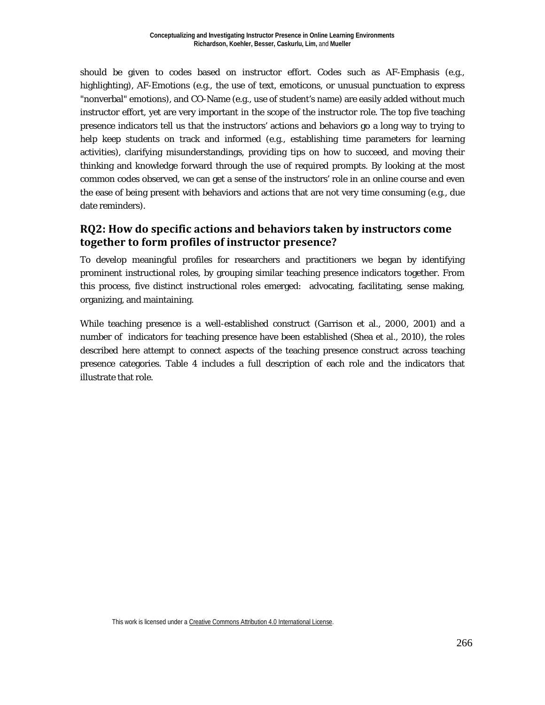should be given to codes based on instructor effort. Codes such as AF-Emphasis (e.g., highlighting), AF-Emotions (e.g., the use of text, emoticons, or unusual punctuation to express "nonverbal" emotions), and CO-Name (e.g., use of student's name) are easily added without much instructor effort, yet are very important in the scope of the instructor role. The top five teaching presence indicators tell us that the instructors' actions and behaviors go a long way to trying to help keep students on track and informed (e.g., establishing time parameters for learning activities), clarifying misunderstandings, providing tips on how to succeed, and moving their thinking and knowledge forward through the use of required prompts. By looking at the most common codes observed, we can get a sense of the instructors' role in an online course and even the ease of being present with behaviors and actions that are not very time consuming (e.g., due date reminders).

## **RQ2: How do specific actions and behaviors taken by instructors come together to form profiles of instructor presence?**

To develop meaningful profiles for researchers and practitioners we began by identifying prominent instructional roles, by grouping similar teaching presence indicators together. From this process, five distinct instructional roles emerged: advocating, facilitating, sense making, organizing, and maintaining.

While teaching presence is a well-established construct (Garrison et al., 2000, 2001) and a number of indicators for teaching presence have been established (Shea et al., 2010), the roles described here attempt to connect aspects of the teaching presence construct across teaching presence categories. Table 4 includes a full description of each role and the indicators that illustrate that role.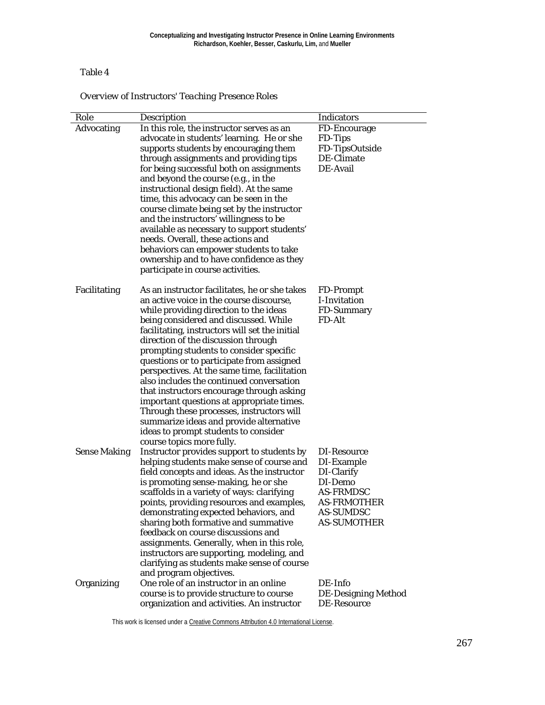#### Table 4

*Overview of Instructors' Teaching Presence Roles*

| Role                | <b>Description</b>                                                                        | <b>Indicators</b>          |
|---------------------|-------------------------------------------------------------------------------------------|----------------------------|
| Advocating          | In this role, the instructor serves as an                                                 | FD-Encourage               |
|                     | advocate in students' learning. He or she                                                 | FD-Tips                    |
|                     | supports students by encouraging them                                                     | FD-TipsOutside             |
|                     | through assignments and providing tips                                                    | DE-Climate                 |
|                     | for being successful both on assignments                                                  | DE-Avail                   |
|                     | and beyond the course (e.g., in the                                                       |                            |
|                     | instructional design field). At the same                                                  |                            |
|                     | time, this advocacy can be seen in the                                                    |                            |
|                     | course climate being set by the instructor                                                |                            |
|                     | and the instructors' willingness to be                                                    |                            |
|                     | available as necessary to support students'<br>needs. Overall, these actions and          |                            |
|                     | behaviors can empower students to take                                                    |                            |
|                     | ownership and to have confidence as they                                                  |                            |
|                     | participate in course activities.                                                         |                            |
|                     |                                                                                           |                            |
| Facilitating        | As an instructor facilitates, he or she takes                                             | <b>FD-Prompt</b>           |
|                     | an active voice in the course discourse,                                                  | I-Invitation               |
|                     | while providing direction to the ideas                                                    | FD-Summary                 |
|                     | being considered and discussed. While                                                     | FD-Alt                     |
|                     | facilitating, instructors will set the initial                                            |                            |
|                     | direction of the discussion through                                                       |                            |
|                     | prompting students to consider specific                                                   |                            |
|                     | questions or to participate from assigned<br>perspectives. At the same time, facilitation |                            |
|                     | also includes the continued conversation                                                  |                            |
|                     | that instructors encourage through asking                                                 |                            |
|                     | important questions at appropriate times.                                                 |                            |
|                     | Through these processes, instructors will                                                 |                            |
|                     | summarize ideas and provide alternative                                                   |                            |
|                     | ideas to prompt students to consider                                                      |                            |
|                     | course topics more fully.                                                                 |                            |
| <b>Sense Making</b> | Instructor provides support to students by                                                | DI-Resource                |
|                     | helping students make sense of course and                                                 | DI-Example                 |
|                     | field concepts and ideas. As the instructor<br>is promoting sense-making, he or she       | DI-Clarify<br>DI-Demo      |
|                     | scaffolds in a variety of ways: clarifying                                                | <b>AS-FRMDSC</b>           |
|                     | points, providing resources and examples,                                                 | <b>AS-FRMOTHER</b>         |
|                     | demonstrating expected behaviors, and                                                     | <b>AS-SUMDSC</b>           |
|                     | sharing both formative and summative                                                      | <b>AS-SUMOTHER</b>         |
|                     | feedback on course discussions and                                                        |                            |
|                     | assignments. Generally, when in this role,                                                |                            |
|                     | instructors are supporting, modeling, and                                                 |                            |
|                     | clarifying as students make sense of course                                               |                            |
|                     | and program objectives.                                                                   |                            |
| Organizing          | One role of an instructor in an online                                                    | DE-Info                    |
|                     | course is to provide structure to course                                                  | <b>DE-Designing Method</b> |
|                     | organization and activities. An instructor                                                | DE-Resource                |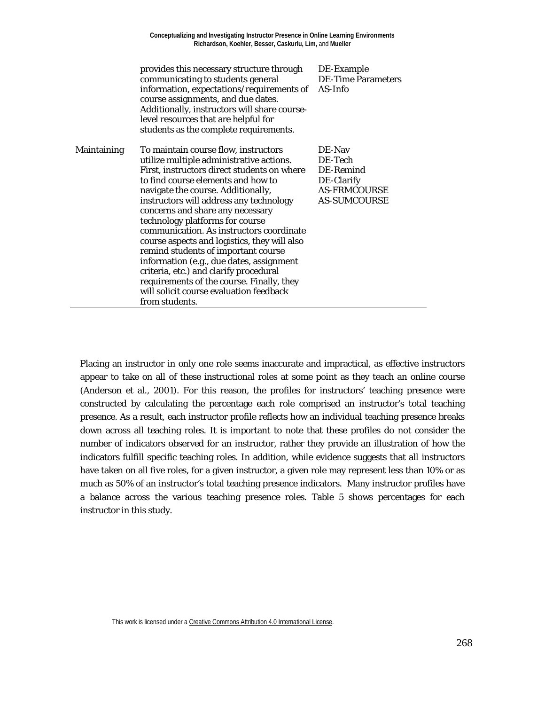|             | provides this necessary structure through<br>communicating to students general<br>information, expectations/requirements of<br>course assignments, and due dates.<br>Additionally, instructors will share course-<br>level resources that are helpful for<br>students as the complete requirements.                                                                                                                                                                                                                                                                                                                                                              | DE-Example<br><b>DE-Time Parameters</b><br>AS-Info                                         |
|-------------|------------------------------------------------------------------------------------------------------------------------------------------------------------------------------------------------------------------------------------------------------------------------------------------------------------------------------------------------------------------------------------------------------------------------------------------------------------------------------------------------------------------------------------------------------------------------------------------------------------------------------------------------------------------|--------------------------------------------------------------------------------------------|
| Maintaining | To maintain course flow, instructors<br>utilize multiple administrative actions.<br>First, instructors direct students on where<br>to find course elements and how to<br>navigate the course. Additionally,<br>instructors will address any technology<br>concerns and share any necessary<br>technology platforms for course<br>communication. As instructors coordinate<br>course aspects and logistics, they will also<br>remind students of important course<br>information (e.g., due dates, assignment<br>criteria, etc.) and clarify procedural<br>requirements of the course. Finally, they<br>will solicit course evaluation feedback<br>from students. | DE-Nav<br>DE-Tech<br>DE-Remind<br>DE-Clarify<br><b>AS-FRMCOURSE</b><br><b>AS-SUMCOURSE</b> |

Placing an instructor in only one role seems inaccurate and impractical, as effective instructors appear to take on all of these instructional roles at some point as they teach an online course (Anderson et al., 2001). For this reason, the profiles for instructors' teaching presence were constructed by calculating the percentage each role comprised an instructor's total teaching presence. As a result, each instructor profile reflects how an individual teaching presence breaks down across all teaching roles. It is important to note that these profiles do not consider the number of indicators observed for an instructor, rather they provide an illustration of how the indicators fulfill specific teaching roles. In addition, while evidence suggests that all instructors have taken on all five roles, for a given instructor, a given role may represent less than 10% or as much as 50% of an instructor's total teaching presence indicators. Many instructor profiles have a balance across the various teaching presence roles. Table 5 shows percentages for each instructor in this study.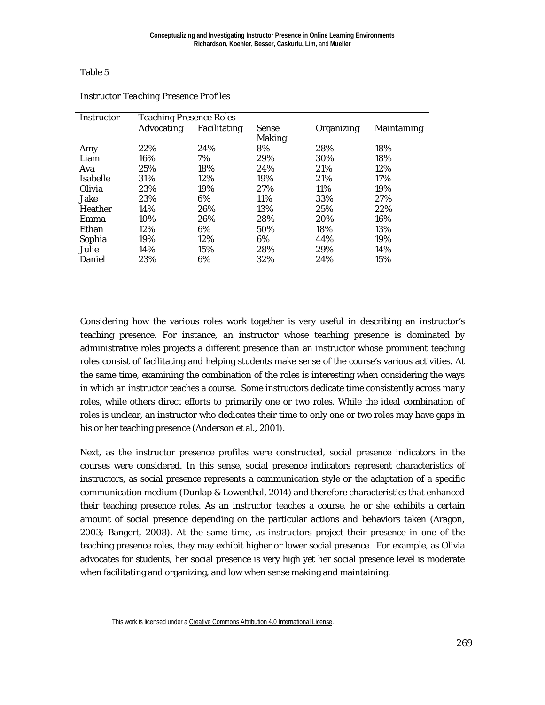#### Table 5

| Instructor | <b>Teaching Presence Roles</b> |              |               |            |             |
|------------|--------------------------------|--------------|---------------|------------|-------------|
|            | <b>Advocating</b>              | Facilitating | <b>Sense</b>  | Organizing | Maintaining |
|            |                                |              | <b>Making</b> |            |             |
| Amy        | 22%                            | 24%          | 8%            | 28%        | 18%         |
| Liam       | 16%                            | 7%           | 29%           | 30%        | 18%         |
| Ava        | 25%                            | 18%          | 24%           | 21%        | 12%         |
| Isabelle   | 31%                            | 12%          | 19%           | 21%        | 17%         |
| Olivia     | 23%                            | 19%          | 27%           | 11%        | 19%         |
| Jake       | 23%                            | 6%           | 11%           | 33%        | 27%         |
| Heather    | 14%                            | 26%          | 13%           | 25%        | 22%         |
| Emma       | 10%                            | 26%          | 28%           | 20%        | 16%         |
| Ethan      | 12%                            | 6%           | 50%           | 18%        | 13%         |
| Sophia     | 19%                            | 12%          | 6%            | 44%        | 19%         |
| Julie      | 14%                            | 15%          | 28%           | 29%        | 14%         |
| Daniel     | 23%                            | 6%           | 32%           | 24%        | 15%         |

#### *Instructor Teaching Presence Profiles*

Considering how the various roles work together is very useful in describing an instructor's teaching presence. For instance, an instructor whose teaching presence is dominated by administrative roles projects a different presence than an instructor whose prominent teaching roles consist of facilitating and helping students make sense of the course's various activities. At the same time, examining the combination of the roles is interesting when considering the ways in which an instructor teaches a course. Some instructors dedicate time consistently across many roles, while others direct efforts to primarily one or two roles. While the ideal combination of roles is unclear, an instructor who dedicates their time to only one or two roles may have gaps in his or her teaching presence (Anderson et al., 2001).

Next, as the instructor presence profiles were constructed, social presence indicators in the courses were considered. In this sense, social presence indicators represent characteristics of instructors, as social presence represents a communication style or the adaptation of a specific communication medium (Dunlap & Lowenthal, 2014) and therefore characteristics that enhanced their teaching presence roles. As an instructor teaches a course, he or she exhibits a certain amount of social presence depending on the particular actions and behaviors taken (Aragon, 2003; Bangert, 2008). At the same time, as instructors project their presence in one of the teaching presence roles, they may exhibit higher or lower social presence. For example, as Olivia advocates for students, her social presence is very high yet her social presence level is moderate when facilitating and organizing, and low when sense making and maintaining.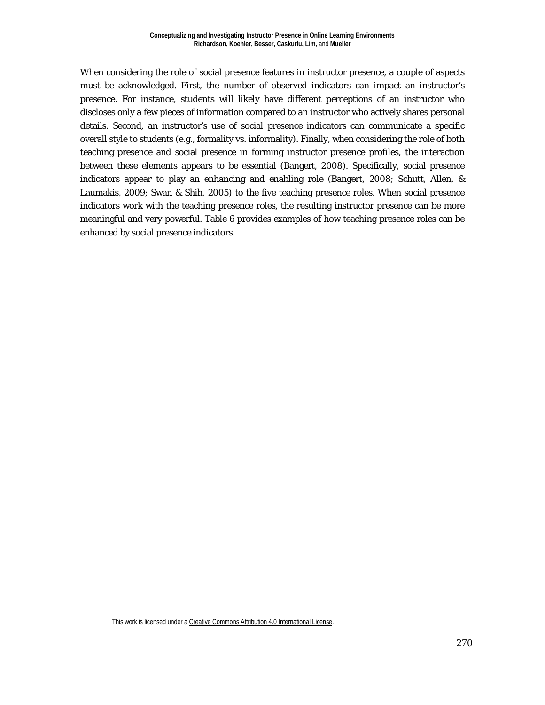When considering the role of social presence features in instructor presence, a couple of aspects must be acknowledged. First, the number of observed indicators can impact an instructor's presence. For instance, students will likely have different perceptions of an instructor who discloses only a few pieces of information compared to an instructor who actively shares personal details. Second, an instructor's use of social presence indicators can communicate a specific overall style to students (e.g., formality vs. informality). Finally, when considering the role of both teaching presence and social presence in forming instructor presence profiles, the interaction between these elements appears to be essential (Bangert, 2008). Specifically, social presence indicators appear to play an enhancing and enabling role (Bangert, 2008; Schutt, Allen, & Laumakis, 2009; Swan & Shih, 2005) to the five teaching presence roles. When social presence indicators work with the teaching presence roles, the resulting instructor presence can be more meaningful and very powerful. Table 6 provides examples of how teaching presence roles can be enhanced by social presence indicators.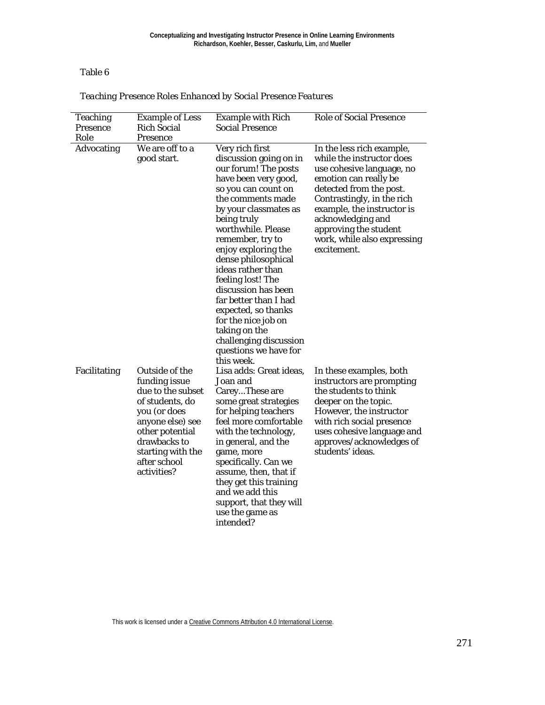Table 6

| <b>Teaching</b><br><b>Presence</b><br>Role | <b>Example of Less</b><br><b>Rich Social</b><br><b>Presence</b>                                                                                                                                    | <b>Example with Rich</b><br><b>Social Presence</b>                                                                                                                                                                                                                                                                                                                                                                                                                                              | <b>Role of Social Presence</b>                                                                                                                                                                                                                                                                  |
|--------------------------------------------|----------------------------------------------------------------------------------------------------------------------------------------------------------------------------------------------------|-------------------------------------------------------------------------------------------------------------------------------------------------------------------------------------------------------------------------------------------------------------------------------------------------------------------------------------------------------------------------------------------------------------------------------------------------------------------------------------------------|-------------------------------------------------------------------------------------------------------------------------------------------------------------------------------------------------------------------------------------------------------------------------------------------------|
| <b>Advocating</b>                          | We are off to a<br>good start.                                                                                                                                                                     | Very rich first<br>discussion going on in<br>our forum! The posts<br>have been very good,<br>so you can count on<br>the comments made<br>by your classmates as<br>being truly<br>worthwhile. Please<br>remember, try to<br>enjoy exploring the<br>dense philosophical<br>ideas rather than<br>feeling lost! The<br>discussion has been<br>far better than I had<br>expected, so thanks<br>for the nice job on<br>taking on the<br>challenging discussion<br>questions we have for<br>this week. | In the less rich example,<br>while the instructor does<br>use cohesive language, no<br>emotion can really be<br>detected from the post.<br>Contrastingly, in the rich<br>example, the instructor is<br>acknowledging and<br>approving the student<br>work, while also expressing<br>excitement. |
| Facilitating                               | Outside of the<br>funding issue<br>due to the subset<br>of students, do<br>you (or does<br>anyone else) see<br>other potential<br>drawbacks to<br>starting with the<br>after school<br>activities? | Lisa adds: Great ideas,<br>Joan and<br>CareyThese are<br>some great strategies<br>for helping teachers<br>feel more comfortable<br>with the technology,<br>in general, and the<br>game, more<br>specifically. Can we<br>assume, then, that if<br>they get this training<br>and we add this<br>support, that they will<br>use the game as<br>intended?                                                                                                                                           | In these examples, both<br>instructors are prompting<br>the students to think<br>deeper on the topic.<br>However, the instructor<br>with rich social presence<br>uses cohesive language and<br>approves/acknowledges of<br>students' ideas.                                                     |

### *Teaching Presence Roles Enhanced by Social Presence Features*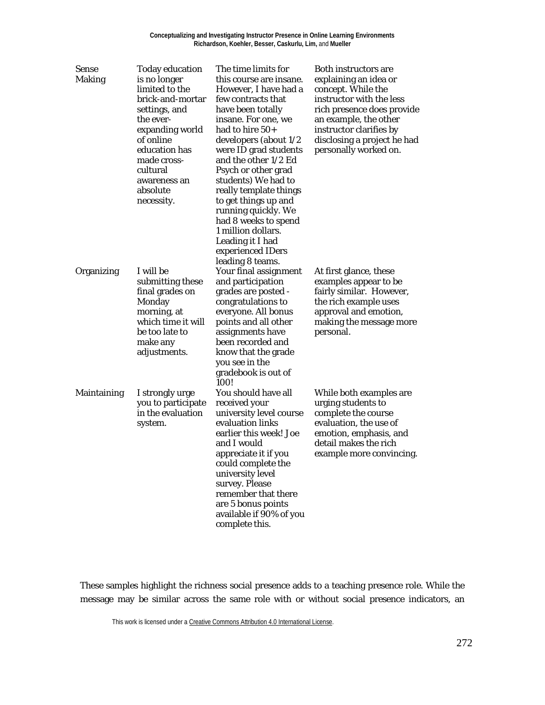| <b>Sense</b><br><b>Making</b> | <b>Today education</b><br>is no longer<br>limited to the<br>brick-and-mortar<br>settings, and<br>the ever-<br>expanding world<br>of online<br>education has<br>made cross-<br>cultural<br>awareness an<br>absolute<br>necessity. | The time limits for<br>this course are insane.<br>However, I have had a<br>few contracts that<br>have been totally<br>insane. For one, we<br>had to hire $50+$<br>developers (about 1/2<br>were ID grad students<br>and the other 1/2 Ed<br>Psych or other grad<br>students) We had to<br>really template things<br>to get things up and<br>running quickly. We<br>had 8 weeks to spend<br>1 million dollars.<br>Leading it I had<br>experienced IDers<br>leading 8 teams. | <b>Both instructors are</b><br>explaining an idea or<br>concept. While the<br>instructor with the less<br>rich presence does provide<br>an example, the other<br>instructor clarifies by<br>disclosing a project he had<br>personally worked on. |
|-------------------------------|----------------------------------------------------------------------------------------------------------------------------------------------------------------------------------------------------------------------------------|----------------------------------------------------------------------------------------------------------------------------------------------------------------------------------------------------------------------------------------------------------------------------------------------------------------------------------------------------------------------------------------------------------------------------------------------------------------------------|--------------------------------------------------------------------------------------------------------------------------------------------------------------------------------------------------------------------------------------------------|
| Organizing                    | I will be<br>submitting these<br>final grades on<br>Monday<br>morning, at<br>which time it will<br>be too late to<br>make any<br>adjustments.                                                                                    | Your final assignment<br>and participation<br>grades are posted -<br>congratulations to<br>everyone. All bonus<br>points and all other<br>assignments have<br>been recorded and<br>know that the grade<br>you see in the<br>gradebook is out of<br>100!                                                                                                                                                                                                                    | At first glance, these<br>examples appear to be<br>fairly similar. However,<br>the rich example uses<br>approval and emotion,<br>making the message more<br>personal.                                                                            |
| Maintaining                   | I strongly urge<br>you to participate<br>in the evaluation<br>system.                                                                                                                                                            | You should have all<br>received your<br>university level course<br>evaluation links<br>earlier this week! Joe<br>and I would<br>appreciate it if you<br>could complete the<br>university level<br>survey. Please<br>remember that there<br>are 5 bonus points<br>available if 90% of you<br>complete this.                                                                                                                                                                 | While both examples are<br>urging students to<br>complete the course<br>evaluation, the use of<br>emotion, emphasis, and<br>detail makes the rich<br>example more convincing.                                                                    |

These samples highlight the richness social presence adds to a teaching presence role. While the message may be similar across the same role with or without social presence indicators, an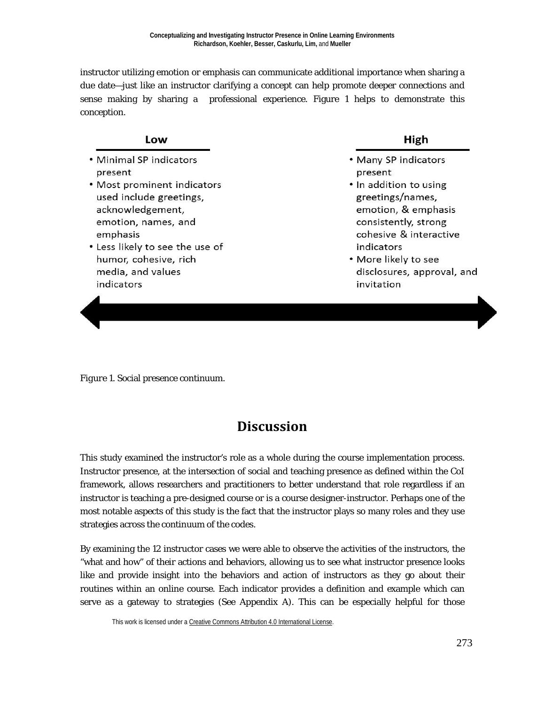instructor utilizing emotion or emphasis can communicate additional importance when sharing a due date—just like an instructor clarifying a concept can help promote deeper connections and sense making by sharing a professional experience. Figure 1 helps to demonstrate this conception.

#### Low

- Minimal SP indicators present
- Most prominent indicators used include greetings, acknowledgement, emotion, names, and emphasis
- Less likely to see the use of humor, cohesive, rich media, and values indicators

#### High

- . Many SP indicators present
- In addition to using greetings/names, emotion, & emphasis consistently, strong cohesive & interactive indicators
- More likely to see disclosures, approval, and invitation

*Figure 1*. Social presence continuum.

## **Discussion**

This study examined the instructor's role as a whole during the course implementation process. Instructor presence, at the intersection of social and teaching presence as defined within the CoI framework, allows researchers and practitioners to better understand that role regardless if an instructor is teaching a pre-designed course or is a course designer-instructor. Perhaps one of the most notable aspects of this study is the fact that the instructor plays so many roles and they use strategies across the continuum of the codes.

By examining the 12 instructor cases we were able to observe the activities of the instructors, the "what and how" of their actions and behaviors, allowing us to see what instructor presence looks like and provide insight into the behaviors and action of instructors as they go about their routines within an online course. Each indicator provides a definition and example which can serve as a gateway to strategies (See Appendix A). This can be especially helpful for those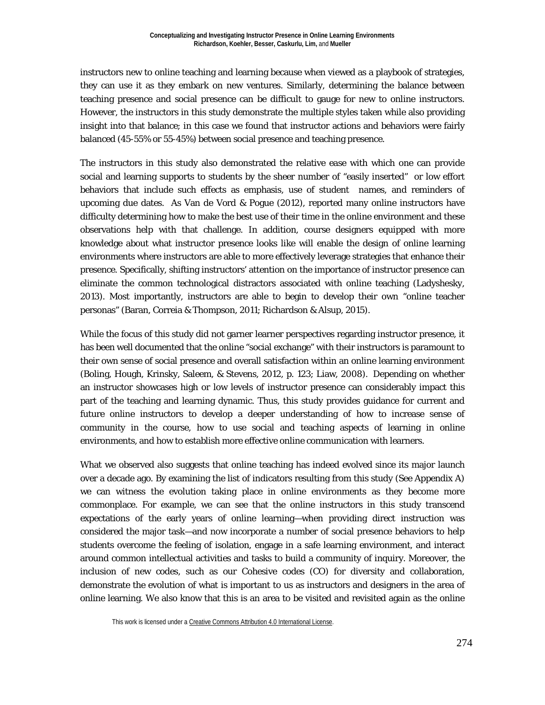instructors new to online teaching and learning because when viewed as a playbook of strategies, they can use it as they embark on new ventures. Similarly, determining the balance between teaching presence and social presence can be difficult to gauge for new to online instructors. However, the instructors in this study demonstrate the multiple styles taken while also providing insight into that balance; in this case we found that instructor actions and behaviors were fairly balanced (45-55% or 55-45%) between social presence and teaching presence.

The instructors in this study also demonstrated the relative ease with which one can provide social and learning supports to students by the sheer number of "easily inserted" or low effort behaviors that include such effects as emphasis, use of student names, and reminders of upcoming due dates. As Van de Vord & Pogue (2012), reported many online instructors have difficulty determining how to make the best use of their time in the online environment and these observations help with that challenge. In addition, course designers equipped with more knowledge about what instructor presence looks like will enable the design of online learning environments where instructors are able to more effectively leverage strategies that enhance their presence. Specifically, shifting instructors' attention on the importance of instructor presence can eliminate the common technological distractors associated with online teaching (Ladyshesky, 2013). Most importantly, instructors are able to begin to develop their own "online teacher personas" (Baran, Correia & Thompson, 2011; Richardson & Alsup, 2015).

While the focus of this study did not garner learner perspectives regarding instructor presence, it has been well documented that the online "social exchange" with their instructors is paramount to their own sense of social presence and overall satisfaction within an online learning environment (Boling, Hough, Krinsky, Saleem, & Stevens, 2012, p. 123; Liaw, 2008). Depending on whether an instructor showcases high or low levels of instructor presence can considerably impact this part of the teaching and learning dynamic. Thus, this study provides guidance for current and future online instructors to develop a deeper understanding of how to increase sense of community in the course, how to use social and teaching aspects of learning in online environments, and how to establish more effective online communication with learners.

What we observed also suggests that online teaching has indeed evolved since its major launch over a decade ago. By examining the list of indicators resulting from this study (See Appendix A) we can witness the evolution taking place in online environments as they become more commonplace. For example, we can see that the online instructors in this study transcend expectations of the early years of online learning—when providing direct instruction was considered the major task—and now incorporate a number of social presence behaviors to help students overcome the feeling of isolation, engage in a safe learning environment, and interact around common intellectual activities and tasks to build a community of inquiry. Moreover, the inclusion of new codes, such as our Cohesive codes (CO) for diversity and collaboration, demonstrate the evolution of what is important to us as instructors and designers in the area of online learning. We also know that this is an area to be visited and revisited again as the online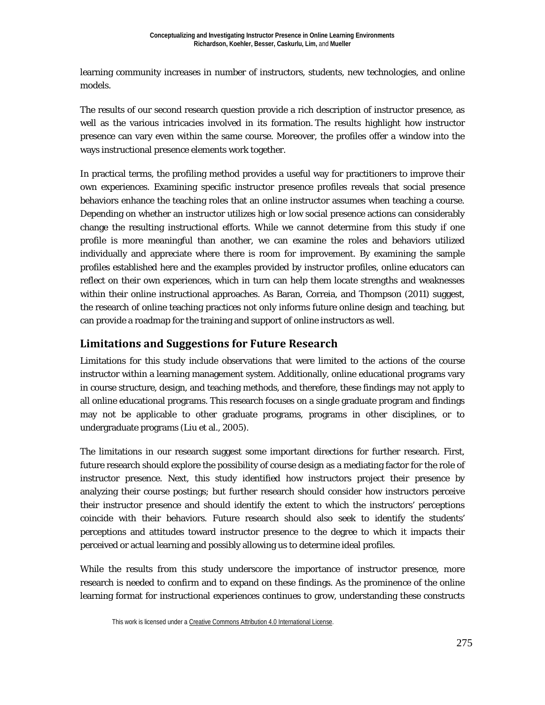learning community increases in number of instructors, students, new technologies, and online models.

The results of our second research question provide a rich description of instructor presence, as well as the various intricacies involved in its formation. The results highlight how instructor presence can vary even within the same course. Moreover, the profiles offer a window into the ways instructional presence elements work together.

In practical terms, the profiling method provides a useful way for practitioners to improve their own experiences. Examining specific instructor presence profiles reveals that social presence behaviors enhance the teaching roles that an online instructor assumes when teaching a course. Depending on whether an instructor utilizes high or low social presence actions can considerably change the resulting instructional efforts. While we cannot determine from this study if one profile is more meaningful than another, we can examine the roles and behaviors utilized individually and appreciate where there is room for improvement. By examining the sample profiles established here and the examples provided by instructor profiles, online educators can reflect on their own experiences, which in turn can help them locate strengths and weaknesses within their online instructional approaches. As Baran, Correia, and Thompson (2011) suggest, the research of online teaching practices not only informs future online design and teaching, but can provide a roadmap for the training and support of online instructors as well.

## **Limitations and Suggestions for Future Research**

Limitations for this study include observations that were limited to the actions of the course instructor within a learning management system. Additionally, online educational programs vary in course structure, design, and teaching methods, and therefore, these findings may not apply to all online educational programs. This research focuses on a single graduate program and findings may not be applicable to other graduate programs, programs in other disciplines, or to undergraduate programs (Liu et al., 2005).

The limitations in our research suggest some important directions for further research. First, future research should explore the possibility of course design as a mediating factor for the role of instructor presence. Next, this study identified how instructors project their presence by analyzing their course postings; but further research should consider how instructors perceive their instructor presence and should identify the extent to which the instructors' perceptions coincide with their behaviors. Future research should also seek to identify the students' perceptions and attitudes toward instructor presence to the degree to which it impacts their perceived or actual learning and possibly allowing us to determine ideal profiles.

While the results from this study underscore the importance of instructor presence, more research is needed to confirm and to expand on these findings. As the prominence of the online learning format for instructional experiences continues to grow, understanding these constructs

This work is licensed under [a Creative Commons Attribution 4.0 International License.](http://creativecommons.org/licenses/by/4.0/)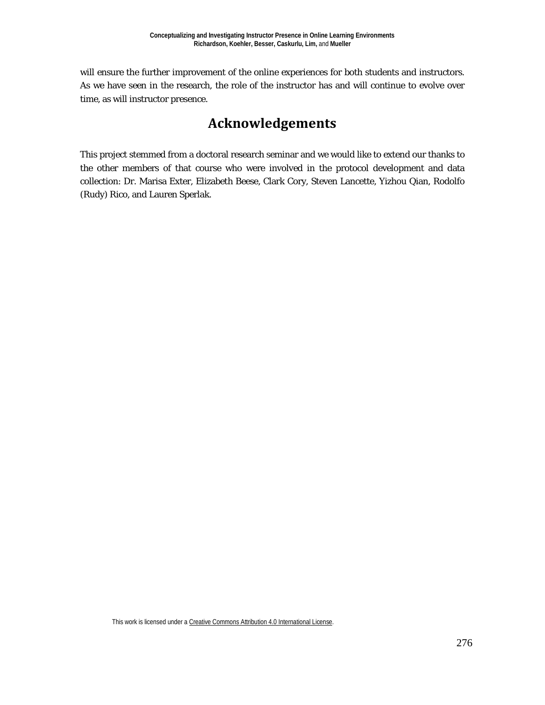will ensure the further improvement of the online experiences for both students and instructors. As we have seen in the research, the role of the instructor has and will continue to evolve over time, as will instructor presence.

## **Acknowledgements**

This project stemmed from a doctoral research seminar and we would like to extend our thanks to the other members of that course who were involved in the protocol development and data collection: Dr. Marisa Exter, Elizabeth Beese, Clark Cory, Steven Lancette, Yizhou Qian, Rodolfo (Rudy) Rico, and Lauren Sperlak.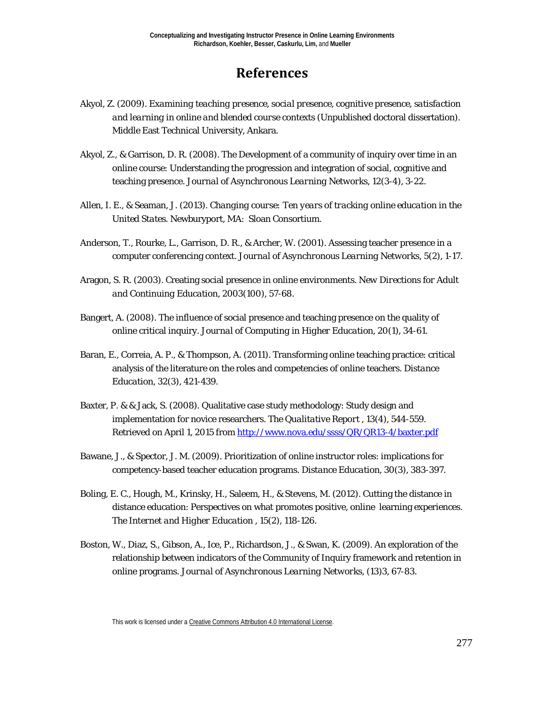## **References**

- Akyol, Z. (2009). *Examining teaching presence, social presence, cognitive presence, satisfaction and learning in online and blended course contexts* (Unpublished doctoral dissertation). Middle East Technical University, Ankara.
- Akyol, Z., & Garrison, D. R. (2008). The Development of a community of inquiry over time in an online course: Understanding the progression and integration of social, cognitive and teaching presence. *Journal of Asynchronous Learning Networks, 12*(3-4), 3-22.
- Allen, I. E., & Seaman, J. (2013). *Changing course: Ten years of tracking online education in the United States*. Newburyport, MA: Sloan Consortium.
- Anderson, T., Rourke, L., Garrison, D. R., & Archer, W. (2001). Assessing teacher presence in a computer conferencing context. *Journal of Asynchronous Learning Networks, 5*(2), 1-17.
- Aragon, S. R. (2003). Creating social presence in online environments. *New Directions for Adult and Continuing Education, 2003*(100), 57-68.
- Bangert, A. (2008). The influence of social presence and teaching presence on the quality of online critical inquiry. *Journal of Computing in Higher Education, 20*(1), 34-61.
- Baran, E., Correia, A. P., & Thompson, A. (2011). Transforming online teaching practice: critical analysis of the literature on the roles and competencies of online teachers. *Distance Education, 32*(3), 421-439.
- Baxter, P. & & Jack, S. (2008). Qualitative case study methodology: Study design and implementation for novice researchers. *The Qualitative Report , 13*(4), 544-559. Retrieved on April 1, 2015 from <http://www.nova.edu/ssss/QR/QR13-4/baxter.pdf>
- Bawane, J., & Spector, J. M. (2009). Prioritization of online instructor roles: implications for competency‐based teacher education programs. *Distance Education, 30*(3), 383-397.
- Boling, E. C., Hough, M., Krinsky, H., Saleem, H., & Stevens, M. (2012). Cutting the distance in distance education: Perspectives on what promotes positive, online learning experiences. *The Internet and Higher Education , 15*(2), 118-126.
- Boston, W., Diaz, S., Gibson, A., Ice, P., Richardson, J., & Swan, K. (2009). An exploration of the relationship between indicators of the Community of Inquiry framework and retention in online programs. *Journal of Asynchronous Learning Networks, (13)*3, 67-83.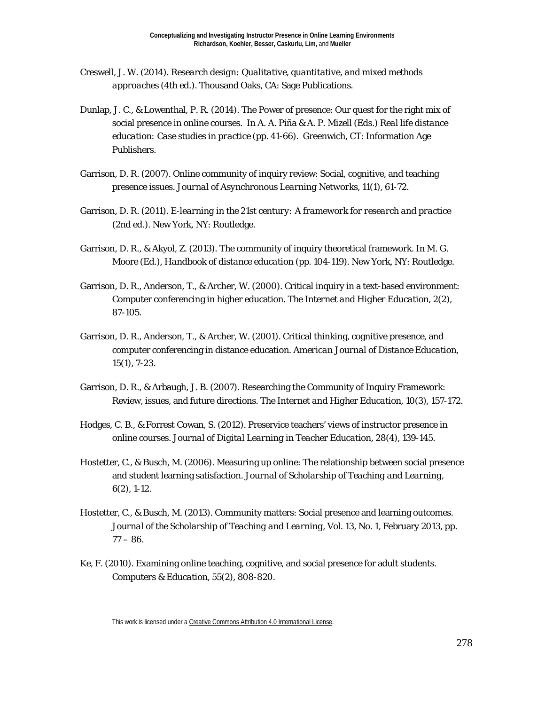- Creswell, J. W. (2014). *Research design: Qualitative, quantitative, and mixed methods approaches* (4th ed.). Thousand Oaks, CA: Sage Publications.
- Dunlap, J. C., & Lowenthal, P. R. (2014). The Power of presence: Our quest for the right mix of social presence in online courses. In A. A. Piña & A. P. Mizell (Eds.) *Real life distance education: Case studies in practice* (pp. 41-66). Greenwich, CT: Information Age Publishers.
- Garrison, D. R. (2007). Online community of inquiry review: Social, cognitive, and teaching presence issues. *Journal of Asynchronous Learning Networks, 11*(1), 61-72.
- Garrison, D. R. (2011). *E-learning in the 21st century: A framework for research and practice* (2nd ed.). New York, NY: Routledge.
- Garrison, D. R., & Akyol, Z. (2013). The community of inquiry theoretical framework. In M. G. Moore (Ed.), *Handbook of distance education* (pp. 104-119). New York, NY: Routledge.
- Garrison, D. R., Anderson, T., & Archer, W. (2000). Critical inquiry in a text-based environment: Computer conferencing in higher education. *The Internet and Higher Education, 2*(2), 87-105.
- Garrison, D. R., Anderson, T., & Archer, W. (2001). Critical thinking, cognitive presence, and computer conferencing in distance education. *American Journal of Distance Education, 15*(1), 7-23.
- Garrison, D. R., & Arbaugh, J. B. (2007). Researching the Community of Inquiry Framework: Review, issues, and future directions. *The Internet and Higher Education, 10*(3), 157-172.
- Hodges, C. B., & Forrest Cowan, S. (2012). Preservice teachers' views of instructor presence in online courses. *Journal of Digital Learning in Teacher Education, 28*(4), 139-145.
- Hostetter, C., & Busch, M. (2006). Measuring up online: The relationship between social presence and student learning satisfaction. *Journal of Scholarship of Teaching and Learning, 6*(2), 1-12.
- Hostetter, C., & Busch, M. (2013). Community matters: Social presence and learning outcomes. *Journal of the Scholarship of Teaching and Learning, Vol. 13*, No. 1, February 2013, pp.  $77 - 86.$
- Ke, F. (2010). Examining online teaching, cognitive, and social presence for adult students. *Computers & Education, 55*(2), 808-820.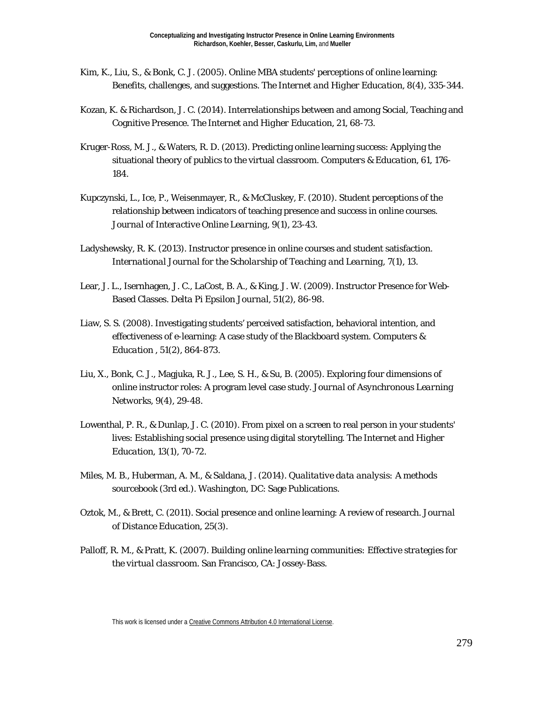- Kim, K., Liu, S., & Bonk, C. J. (2005). Online MBA students' perceptions of online learning: Benefits, challenges, and suggestions. *The Internet and Higher Education, 8*(4), 335-344.
- Kozan, K. & Richardson, J. C. (2014). Interrelationships between and among Social, Teaching and Cognitive Presence. *The Internet and Higher Education, 21*, 68-73.
- Kruger-Ross, M. J., & Waters, R. D. (2013). Predicting online learning success: Applying the situational theory of publics to the virtual classroom. *Computers & Education, 61*, 176- 184.
- Kupczynski, L., Ice, P., Weisenmayer, R., & McCluskey, F. (2010). Student perceptions of the relationship between indicators of teaching presence and success in online courses. *Journal of Interactive Online Learning, 9*(1), 23-43.
- Ladyshewsky, R. K. (2013). Instructor presence in online courses and student satisfaction. *International Journal for the Scholarship of Teaching and Learning, 7*(1), 13.
- Lear, J. L., Isernhagen, J. C., LaCost, B. A., & King, J. W. (2009). Instructor Presence for Web-Based Classes. *Delta Pi Epsilon Journal, 51*(2), 86-98.
- Liaw, S. S. (2008). Investigating students' perceived satisfaction, behavioral intention, and effectiveness of e-learning: A case study of the Blackboard system. *Computers & Education , 51*(2), 864-873.
- Liu, X., Bonk, C. J., Magjuka, R. J., Lee, S. H., & Su, B. (2005). Exploring four dimensions of online instructor roles: A program level case study. *Journal of Asynchronous Learning Networks, 9*(4), 29-48.
- Lowenthal, P. R., & Dunlap, J. C. (2010). From pixel on a screen to real person in your students' lives: Establishing social presence using digital storytelling. *The Internet and Higher Education, 13*(1), 70-72.
- Miles, M. B., Huberman, A. M., & Saldana, J. (2014). *Qualitative data analysis: A methods sourcebook* (3rd ed.). Washington, DC: Sage Publications.
- Oztok, M., & Brett, C. (2011). Social presence and online learning: A review of research. *Journal of Distance Education, 25*(3).
- Palloff, R. M., & Pratt, K. (2007). *Building online learning communities: Effective strategies for the virtual classroom.* San Francisco, CA: Jossey-Bass.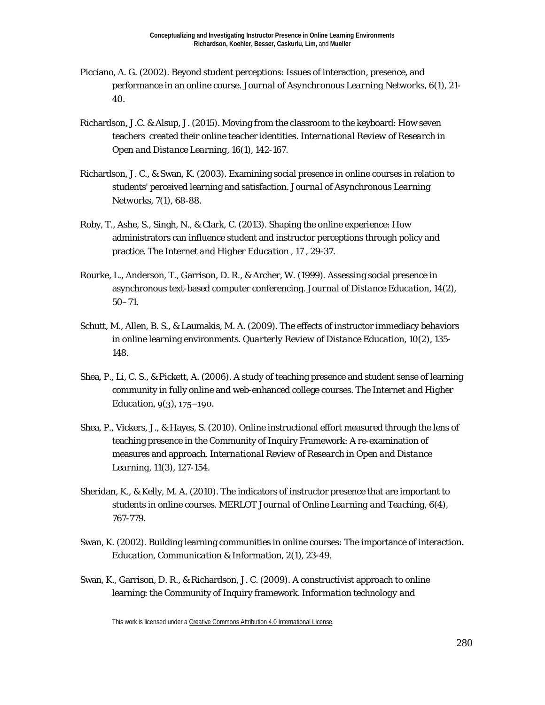- Picciano, A. G. (2002). Beyond student perceptions: Issues of interaction, presence, and performance in an online course. *Journal of Asynchronous Learning Networks, 6*(1), 21- 40.
- Richardson, J.C. & Alsup, J. (2015). Moving from the classroom to the keyboard: How seven teachers created their online teacher identities. *International Review of Research in Open and Distance Learning, 16(1),* 142-167.
- Richardson, J. C., & Swan, K. (2003). Examining social presence in online courses in relation to students' perceived learning and satisfaction. *Journal of Asynchronous Learning Networks, 7*(1), 68-88.
- Roby, T., Ashe, S., Singh, N., & Clark, C. (2013). Shaping the online experience: How administrators can influence student and instructor perceptions through policy and practice. *The Internet and Higher Education , 17* , 29-37.
- Rourke, L., Anderson, T., Garrison, D. R., & Archer, W. (1999). Assessing social presence in asynchronous text-based computer conferencing. *Journal of Distance Education, 14*(2), 50–71.
- Schutt, M., Allen, B. S., & Laumakis, M. A. (2009). The effects of instructor immediacy behaviors in online learning environments. *Quarterly Review of Distance Education, 10*(2), 135- 148.
- Shea, P., Li, C. S., & Pickett, A. (2006). A study of teaching presence and student sense of learning community in fully online and web-enhanced college courses. The *Internet and Higher Education*, 9(3), 175−190.
- Shea, P., Vickers, J., & Hayes, S. (2010). Online instructional effort measured through the lens of teaching presence in the Community of Inquiry Framework: A re-examination of measures and approach. *International Review of Research in Open and Distance Learning, 11*(3), 127-154.
- Sheridan, K., & Kelly, M. A. (2010). The indicators of instructor presence that are important to students in online courses. *MERLOT Journal of Online Learning and Teaching, 6*(4), 767-779.
- Swan, K. (2002). Building learning communities in online courses: The importance of interaction. *Education, Communication & Information, 2*(1), 23-49.
- Swan, K., Garrison, D. R., & Richardson, J. C. (2009). A constructivist approach to online learning: the Community of Inquiry framework. *Information technology and*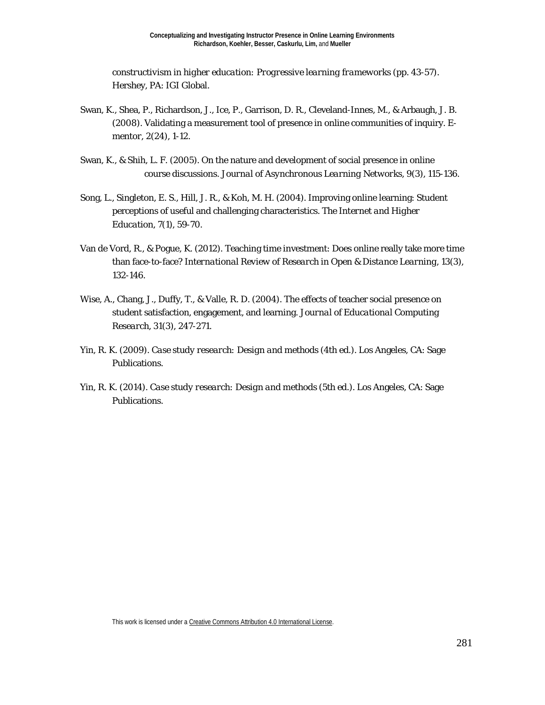*constructivism in higher education: Progressive learning frameworks* (pp. 43-57). Hershey, PA: IGI Global.

- Swan, K., Shea, P., Richardson, J., Ice, P., Garrison, D. R., Cleveland-Innes, M., & Arbaugh, J. B. (2008). Validating a measurement tool of presence in online communities of inquiry. *Ementor*, *2*(24), 1-12.
- Swan, K., & Shih, L. F. (2005). On the nature and development of social presence in online course discussions. *Journal of Asynchronous Learning Networks, 9*(3), 115-136.
- Song, L., Singleton, E. S., Hill, J. R., & Koh, M. H. (2004). Improving online learning: Student perceptions of useful and challenging characteristics. *The Internet and Higher Education, 7*(1), 59-70.
- Van de Vord, R., & Pogue, K. (2012). Teaching time investment: Does online really take more time than face-to-face? *International Review of Research in Open & Distance Learning, 13*(3), 132-146.
- Wise, A., Chang, J., Duffy, T., & Valle, R. D. (2004). The effects of teacher social presence on student satisfaction, engagement, and learning. *Journal of Educational Computing Research, 31*(3), 247-271.
- Yin, R. K. (2009). *Case study research: Design and methods* (4th ed.). Los Angeles, CA: Sage Publications.
- Yin, R. K. (2014). *Case study research: Design and methods* (5th ed.). Los Angeles, CA: Sage Publications.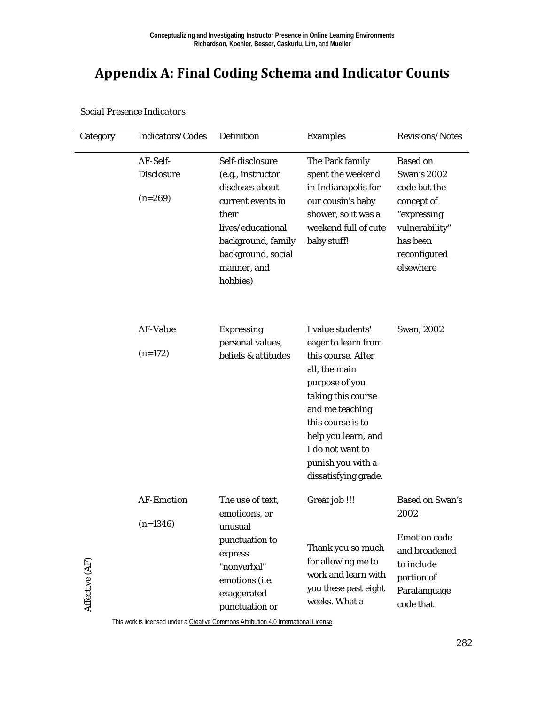# **Appendix A: Final Coding Schema and Indicator Counts**

| Category       | Indicators/Codes                           | Definition                                                                                                                                                                        | <b>Examples</b>                                                                                                                                                                                                                                         | Revisions/Notes                                                                                                                               |
|----------------|--------------------------------------------|-----------------------------------------------------------------------------------------------------------------------------------------------------------------------------------|---------------------------------------------------------------------------------------------------------------------------------------------------------------------------------------------------------------------------------------------------------|-----------------------------------------------------------------------------------------------------------------------------------------------|
|                | AF-Self-<br><b>Disclosure</b><br>$(n=269)$ | Self-disclosure<br>(e.g., instructor<br>discloses about<br>current events in<br>their<br>lives/educational<br>background, family<br>background, social<br>manner, and<br>hobbies) | The Park family<br>spent the weekend<br>in Indianapolis for<br>our cousin's baby<br>shower, so it was a<br>weekend full of cute<br>baby stuff!                                                                                                          | <b>Based on</b><br><b>Swan's 2002</b><br>code but the<br>concept of<br>"expressing<br>vulnerability"<br>has been<br>reconfigured<br>elsewhere |
|                | <b>AF-Value</b><br>$(n=172)$               | <b>Expressing</b><br>personal values,<br>beliefs & attitudes                                                                                                                      | I value students'<br>eager to learn from<br>this course. After<br>all, the main<br>purpose of you<br>taking this course<br>and me teaching<br>this course is to<br>help you learn, and<br>I do not want to<br>punish you with a<br>dissatisfying grade. | Swan, 2002                                                                                                                                    |
| Affective (AF) | <b>AF-Emotion</b><br>$(n=1346)$            | The use of text,<br>emoticons, or<br>unusual<br>punctuation to<br>express<br>"nonverbal"<br>emotions (i.e.<br>exaggerated<br>punctuation or                                       | Great job !!!<br>Thank you so much<br>for allowing me to<br>work and learn with<br>you these past eight<br>weeks. What a                                                                                                                                | <b>Based on Swan's</b><br>2002<br><b>Emotion</b> code<br>and broadened<br>to include<br>portion of<br>Paralanguage<br>code that               |

*Social Presence Indicators*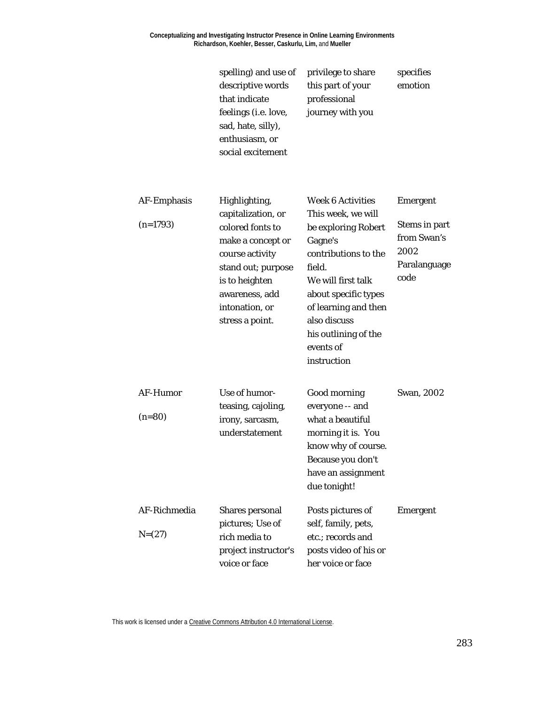**Conceptualizing and Investigating Instructor Presence in Online Learning Environments Richardson, Koehler, Besser, Caskurlu, Lim,** and **Mueller**

spelling) and use of privilege to share

specifies

|                             | descriptive words<br>that indicate<br>feelings (i.e. love,<br>sad, hate, silly),<br>enthusiasm, or<br>social excitement                                                                        | this part of your<br>professional<br>journey with you                                                                                                                                                                                                        | emotion                                                                         |
|-----------------------------|------------------------------------------------------------------------------------------------------------------------------------------------------------------------------------------------|--------------------------------------------------------------------------------------------------------------------------------------------------------------------------------------------------------------------------------------------------------------|---------------------------------------------------------------------------------|
| AF-Emphasis<br>$(n=1793)$   | Highlighting,<br>capitalization, or<br>colored fonts to<br>make a concept or<br>course activity<br>stand out; purpose<br>is to heighten<br>awareness, add<br>intonation, or<br>stress a point. | <b>Week 6 Activities</b><br>This week, we will<br>be exploring Robert<br>Gagne's<br>contributions to the<br>field.<br>We will first talk<br>about specific types<br>of learning and then<br>also discuss<br>his outlining of the<br>events of<br>instruction | <b>Emergent</b><br>Stems in part<br>from Swan's<br>2002<br>Paralanguage<br>code |
| <b>AF-Humor</b><br>$(n=80)$ | Use of humor-<br>teasing, cajoling,<br>irony, sarcasm,<br>understatement                                                                                                                       | Good morning<br>everyone -- and<br>what a beautiful<br>morning it is. You<br>know why of course.<br>Because you don't<br>have an assignment<br>due tonight!                                                                                                  | Swan, 2002                                                                      |
| AF-Richmedia<br>$N=(27)$    | Shares personal<br>pictures; Use of<br>rich media to<br>project instructor's<br>voice or face                                                                                                  | Posts pictures of<br>self, family, pets,<br>etc.; records and<br>posts video of his or<br>her voice or face                                                                                                                                                  | <b>Emergent</b>                                                                 |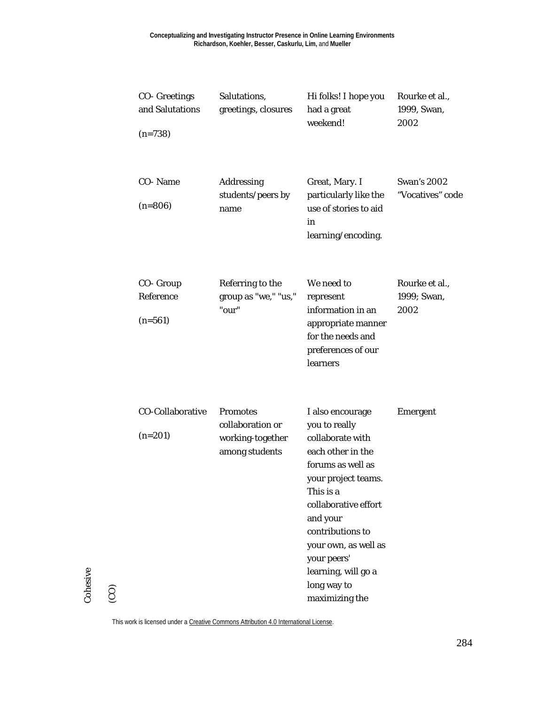| <b>CO-</b> Greetings<br>and Salutations<br>$(n=738)$ | Salutations,<br>greetings, closures                                       | Hi folks! I hope you<br>had a great<br>weekend!                                                                                                                                                                                                                                            | Rourke et al.,<br>1999, Swan,<br>2002  |
|------------------------------------------------------|---------------------------------------------------------------------------|--------------------------------------------------------------------------------------------------------------------------------------------------------------------------------------------------------------------------------------------------------------------------------------------|----------------------------------------|
| CO-Name<br>$(n=806)$                                 | Addressing<br>students/peers by<br>name                                   | Great, Mary. I<br>particularly like the<br>use of stories to aid<br>in<br>learning/encoding.                                                                                                                                                                                               | <b>Swan's 2002</b><br>"Vocatives" code |
| CO- Group<br>Reference<br>$(n=561)$                  | Referring to the<br>group as "we," "us,"<br>"our"                         | We need to<br>represent<br>information in an<br>appropriate manner<br>for the needs and<br>preferences of our<br>learners                                                                                                                                                                  | Rourke et al.,<br>1999; Swan,<br>2002  |
| <b>CO-Collaborative</b><br>$(n=201)$                 | <b>Promotes</b><br>collaboration or<br>working-together<br>among students | I also encourage<br>you to really<br>collaborate with<br>each other in the<br>forums as well as<br>your project teams.<br>This is a<br>collaborative effort<br>and your<br>contributions to<br>your own, as well as<br>your peers'<br>learning, will go a<br>long way to<br>maximizing the | <b>Emergent</b>                        |

Cohesive

Cohesive

(CO)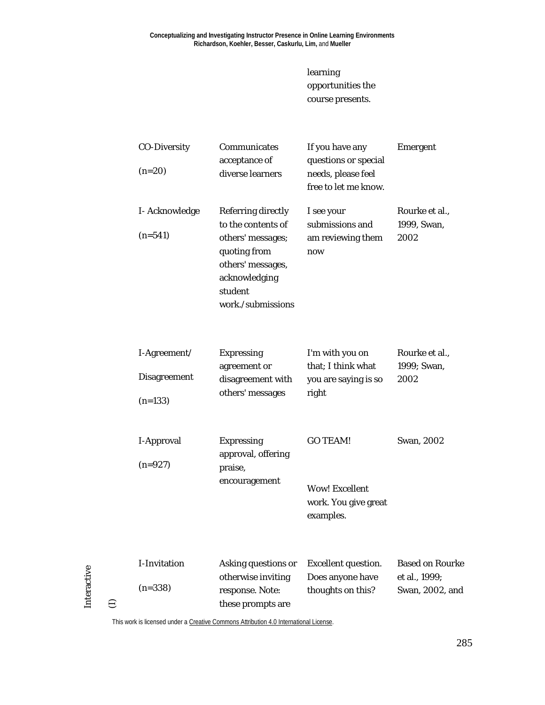learning opportunities the course presents.

|   | <b>CO-Diversity</b><br>$(n=20)$                  | Communicates<br>acceptance of<br>diverse learners                                                                                                          | If you have any<br>questions or special<br>needs, please feel<br>free to let me know. | Emergent                                                   |
|---|--------------------------------------------------|------------------------------------------------------------------------------------------------------------------------------------------------------------|---------------------------------------------------------------------------------------|------------------------------------------------------------|
|   | I-Acknowledge<br>$(n=541)$                       | <b>Referring directly</b><br>to the contents of<br>others' messages;<br>quoting from<br>others' messages,<br>acknowledging<br>student<br>work./submissions | I see your<br>submissions and<br>am reviewing them<br>now                             | Rourke et al.,<br>1999, Swan,<br>2002                      |
|   | I-Agreement/<br><b>Disagreement</b><br>$(n=133)$ | <b>Expressing</b><br>agreement or<br>disagreement with<br>others' messages                                                                                 | I'm with you on<br>that; I think what<br>you are saying is so<br>right                | Rourke et al.,<br>1999; Swan,<br>2002                      |
|   | I-Approval<br>$(n=927)$                          | <b>Expressing</b><br>approval, offering<br>praise,<br>encouragement                                                                                        | <b>GO TEAM!</b><br><b>Wow! Excellent</b><br>work. You give great<br>examples.         | Swan, 2002                                                 |
| ε | <b>I-Invitation</b><br>$(n=338)$                 | Asking questions or<br>otherwise inviting<br>response. Note:<br>these prompts are                                                                          | <b>Excellent question.</b><br>Does anyone have<br>thoughts on this?                   | <b>Based on Rourke</b><br>et al., 1999;<br>Swan, 2002, and |

This work is licensed under [a Creative Commons Attribution 4.0 International License.](http://creativecommons.org/licenses/by/4.0/)

Interactive

Interactive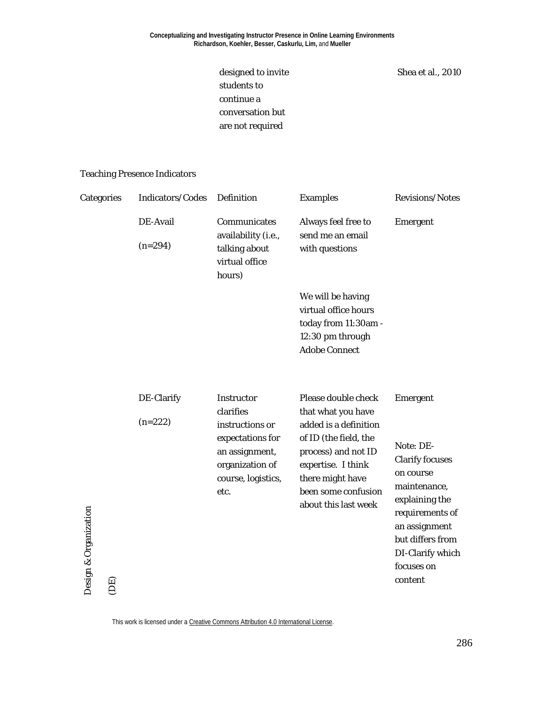designed to invite students to continue a conversation but are not required

Shea et al., 2010

#### Teaching Presence Indicators

| Categories                  | Indicators/Codes        | Definition                                                                                                                               | <b>Examples</b>                                                                                                                                                                                             | Revisions/Notes                                                                                                                                                                                     |
|-----------------------------|-------------------------|------------------------------------------------------------------------------------------------------------------------------------------|-------------------------------------------------------------------------------------------------------------------------------------------------------------------------------------------------------------|-----------------------------------------------------------------------------------------------------------------------------------------------------------------------------------------------------|
|                             | DE-Avail<br>$(n=294)$   | Communicates<br>availability (i.e.,<br>talking about<br>virtual office<br>hours)                                                         | Always feel free to<br>send me an email<br>with questions                                                                                                                                                   | Emergent                                                                                                                                                                                            |
|                             |                         |                                                                                                                                          | We will be having<br>virtual office hours<br>today from 11:30am -<br>12:30 pm through<br><b>Adobe Connect</b>                                                                                               |                                                                                                                                                                                                     |
| Design & Organization<br>ΈQ | DE-Clarify<br>$(n=222)$ | <b>Instructor</b><br>clarifies<br>instructions or<br>expectations for<br>an assignment,<br>organization of<br>course, logistics,<br>etc. | Please double check<br>that what you have<br>added is a definition<br>of ID (the field, the<br>process) and not ID<br>expertise. I think<br>there might have<br>been some confusion<br>about this last week | Emergent<br>Note: DE-<br><b>Clarify focuses</b><br>on course<br>maintenance,<br>explaining the<br>requirements of<br>an assignment<br>but differs from<br>DI-Clarify which<br>focuses on<br>content |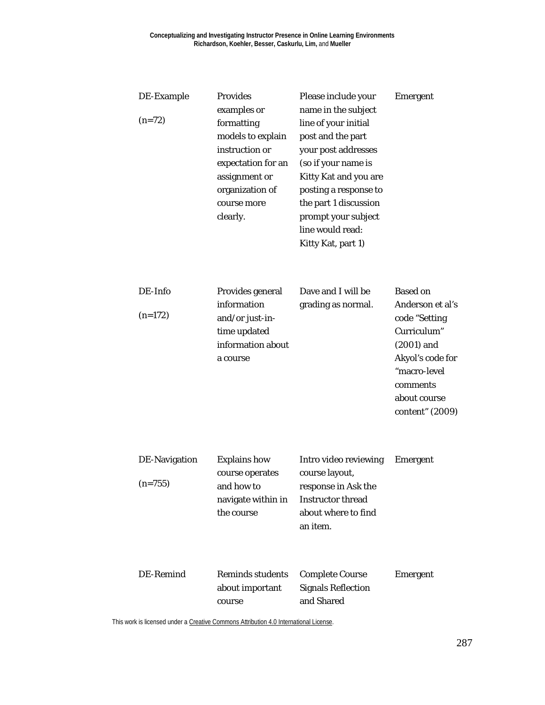| DE-Example<br>$(n=72)$            | <b>Provides</b><br>examples or<br>formatting<br>models to explain<br>instruction or<br>expectation for an<br>assignment or<br>organization of<br>course more<br>clearly. | Please include your<br>name in the subject<br>line of your initial<br>post and the part<br>your post addresses<br>(so if your name is<br>Kitty Kat and you are<br>posting a response to<br>the part 1 discussion<br>prompt your subject<br>line would read:<br>Kitty Kat, part 1) | <b>Emergent</b>                                                                                                                                                        |
|-----------------------------------|--------------------------------------------------------------------------------------------------------------------------------------------------------------------------|-----------------------------------------------------------------------------------------------------------------------------------------------------------------------------------------------------------------------------------------------------------------------------------|------------------------------------------------------------------------------------------------------------------------------------------------------------------------|
| DE-Info<br>$(n=172)$              | Provides general<br>information<br>and/or just-in-<br>time updated<br>information about<br>a course                                                                      | Dave and I will be<br>grading as normal.                                                                                                                                                                                                                                          | <b>Based on</b><br>Anderson et al's<br>code "Setting<br>Curriculum"<br>$(2001)$ and<br>Akyol's code for<br>"macro-level<br>comments<br>about course<br>content" (2009) |
| <b>DE-Navigation</b><br>$(n=755)$ | <b>Explains how</b><br>course operates<br>and how to<br>navigate within in<br>the course                                                                                 | Intro video reviewing<br>course layout,<br>response in Ask the<br><b>Instructor thread</b><br>about where to find<br>an item.                                                                                                                                                     | <b>Emergent</b>                                                                                                                                                        |
| DE-Remind                         | <b>Reminds students</b><br>about important<br>course                                                                                                                     | <b>Complete Course</b><br><b>Signals Reflection</b><br>and Shared                                                                                                                                                                                                                 | Emergent                                                                                                                                                               |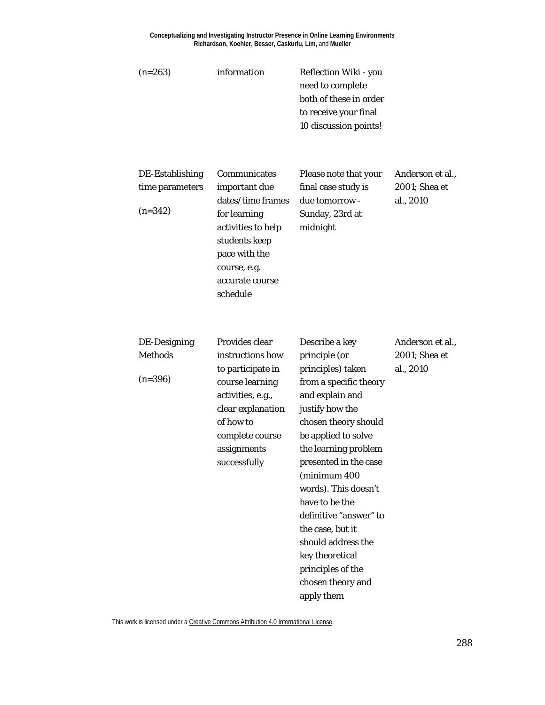**Conceptualizing and Investigating Instructor Presence in Online Learning Environments Richardson, Koehler, Besser, Caskurlu, Lim,** and **Mueller**

| $(n=263)$                                       | information                                                                                                                                                                         | Reflection Wiki - you<br>need to complete<br>both of these in order<br>to receive your final<br>10 discussion points!                                                                                                                                                                                                                                                                                                         |                                                |
|-------------------------------------------------|-------------------------------------------------------------------------------------------------------------------------------------------------------------------------------------|-------------------------------------------------------------------------------------------------------------------------------------------------------------------------------------------------------------------------------------------------------------------------------------------------------------------------------------------------------------------------------------------------------------------------------|------------------------------------------------|
| DE-Establishing<br>time parameters<br>$(n=342)$ | Communicates<br>important due<br>dates/time frames<br>for learning<br>activities to help<br>students keep<br>pace with the<br>course, e.g.<br>accurate course<br>schedule           | Please note that your<br>final case study is<br>due tomorrow -<br>Sunday, 23rd at<br>midnight                                                                                                                                                                                                                                                                                                                                 | Anderson et al.,<br>2001; Shea et<br>al., 2010 |
| DE-Designing<br><b>Methods</b><br>$(n=396)$     | Provides clear<br>instructions how<br>to participate in<br>course learning<br>activities, e.g.,<br>clear explanation<br>of how to<br>complete course<br>assignments<br>successfully | Describe a key<br>principle (or<br>principles) taken<br>from a specific theory<br>and explain and<br>justify how the<br>chosen theory should<br>be applied to solve<br>the learning problem<br>presented in the case<br>(minimum 400<br>words). This doesn't<br>have to be the<br>definitive "answer" to<br>the case, but it<br>should address the<br>key theoretical<br>principles of the<br>chosen theory and<br>apply them | Anderson et al.,<br>2001; Shea et<br>al., 2010 |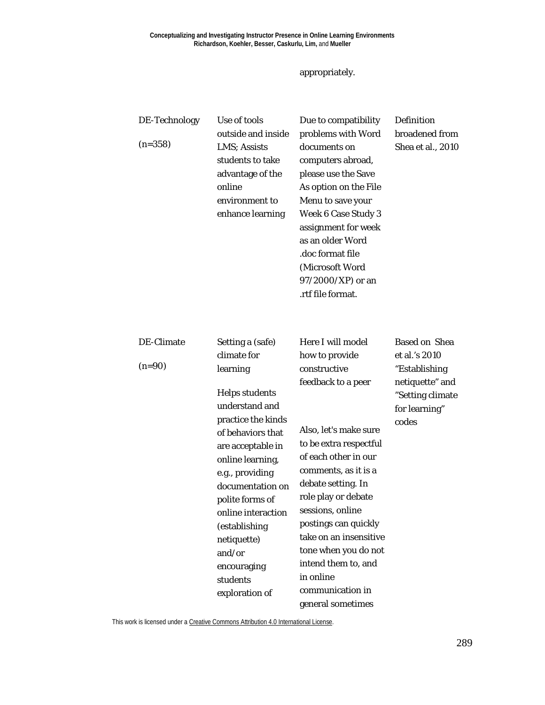#### appropriately.

| DE-Technology<br>$(n=358)$ | Use of tools<br>outside and inside<br>LMS; Assists<br>students to take<br>advantage of the<br>online<br>environment to<br>enhance learning                                                                                                                                                                                      | Due to compatibility<br>problems with Word<br>documents on<br>computers abroad,<br>please use the Save<br>As option on the File<br>Menu to save your<br><b>Week 6 Case Study 3</b><br>assignment for week<br>as an older Word<br>.doc format file<br>(Microsoft Word<br>97/2000/XP) or an<br>.rtf file format.                                              | Definition<br>broadened from<br>Shea et al., 2010                                                                       |
|----------------------------|---------------------------------------------------------------------------------------------------------------------------------------------------------------------------------------------------------------------------------------------------------------------------------------------------------------------------------|-------------------------------------------------------------------------------------------------------------------------------------------------------------------------------------------------------------------------------------------------------------------------------------------------------------------------------------------------------------|-------------------------------------------------------------------------------------------------------------------------|
| DE-Climate<br>$(n=90)$     | Setting a (safe)<br>climate for<br>learning<br><b>Helps students</b><br>understand and<br>practice the kinds<br>of behaviors that<br>are acceptable in<br>online learning,<br>e.g., providing<br>documentation on<br>polite forms of<br>online interaction<br>(establishing<br>netiquette)<br>and/or<br>encouraging<br>students | Here I will model<br>how to provide<br>constructive<br>feedback to a peer<br>Also, let's make sure<br>to be extra respectful<br>of each other in our<br>comments, as it is a<br>debate setting. In<br>role play or debate<br>sessions, online<br>postings can quickly<br>take on an insensitive<br>tone when you do not<br>intend them to, and<br>in online | <b>Based on Shea</b><br>et al.'s 2010<br>"Establishing<br>netiquette" and<br>"Setting climate<br>for learning"<br>codes |
|                            | exploration of                                                                                                                                                                                                                                                                                                                  | communication in<br>general sometimes                                                                                                                                                                                                                                                                                                                       |                                                                                                                         |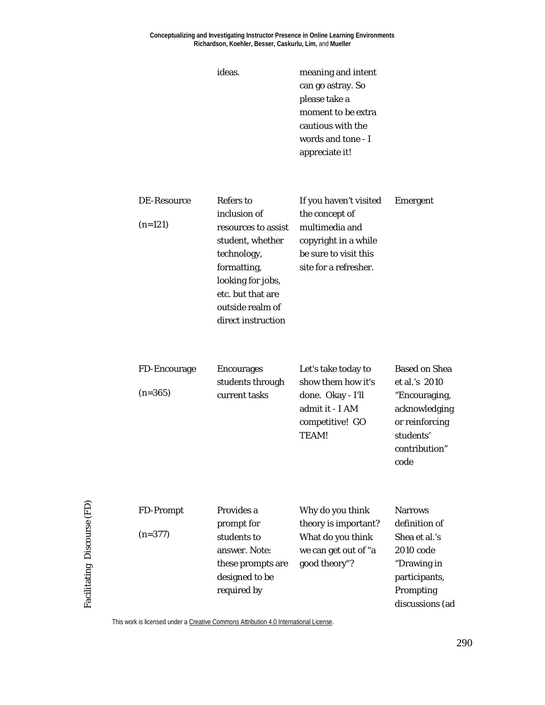#### **Conceptualizing and Investigating Instructor Presence in Online Learning Environments Richardson, Koehler, Besser, Caskurlu, Lim,** and **Mueller**

| ideas. | meaning and intent |
|--------|--------------------|
|        | can go astray. So  |
|        | please take a      |
|        | moment to be extra |
|        | cautious with the  |
|        | words and tone - I |
|        | appreciate it!     |
|        |                    |

| DE-Resource | Refers to           | If you haven't visited | Emergent |
|-------------|---------------------|------------------------|----------|
|             | inclusion of        | the concept of         |          |
| $(n=121)$   | resources to assist | multimedia and         |          |
|             | student, whether    | copyright in a while   |          |
|             | technology,         | be sure to visit this  |          |
|             | formatting,         | site for a refresher.  |          |
|             | looking for jobs,   |                        |          |
|             | etc. but that are   |                        |          |
|             | outside realm of    |                        |          |
|             | direct instruction  |                        |          |
|             |                     |                        |          |

| FD-Encourage | <b>Encourages</b>                 | Let's take today to                                                           | <b>Based on Shea</b>                                              |
|--------------|-----------------------------------|-------------------------------------------------------------------------------|-------------------------------------------------------------------|
| $(n=365)$    | students through<br>current tasks | show them how it's<br>done. Okay - I'll<br>admit it - I AM<br>competitive! GO | et al.'s 2010<br>"Encouraging,<br>acknowledging<br>or reinforcing |
|              |                                   |                                                                               |                                                                   |
|              |                                   | TEAM!                                                                         | students'                                                         |
|              |                                   |                                                                               | contribution"                                                     |
|              |                                   |                                                                               | code                                                              |

| FD-Prompt | Provides a        | Why do you think     | <b>Narrows</b>  |
|-----------|-------------------|----------------------|-----------------|
|           | prompt for        | theory is important? | definition of   |
| $(n=377)$ | students to       | What do you think    | Shea et al.'s   |
|           | answer. Note:     | we can get out of "a | 2010 code       |
|           | these prompts are | good theory"?        | "Drawing in     |
|           | designed to be    |                      | participants,   |
|           | required by       |                      | Prompting       |
|           |                   |                      | discussions (ad |
|           |                   |                      |                 |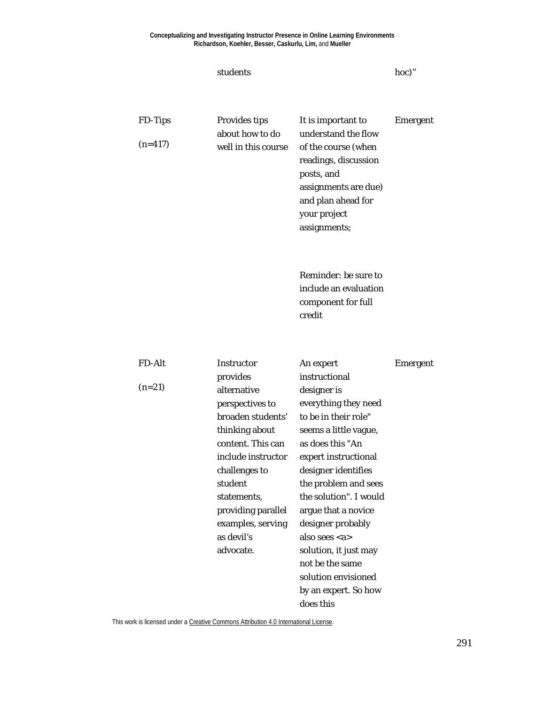| students                                                                                                                                                                                                                                      |                                                                                                                                                                                                                                                                                                                                           | hoc)"                                                   |
|-----------------------------------------------------------------------------------------------------------------------------------------------------------------------------------------------------------------------------------------------|-------------------------------------------------------------------------------------------------------------------------------------------------------------------------------------------------------------------------------------------------------------------------------------------------------------------------------------------|---------------------------------------------------------|
| <b>Provides tips</b>                                                                                                                                                                                                                          | It is important to                                                                                                                                                                                                                                                                                                                        | <b>Emergent</b>                                         |
| well in this course                                                                                                                                                                                                                           | of the course (when<br>readings, discussion<br>posts, and<br>assignments are due)<br>and plan ahead for<br>your project<br>assignments;                                                                                                                                                                                                   |                                                         |
|                                                                                                                                                                                                                                               | Reminder: be sure to<br>include an evaluation<br>component for full<br>credit                                                                                                                                                                                                                                                             |                                                         |
| Instructor                                                                                                                                                                                                                                    |                                                                                                                                                                                                                                                                                                                                           | <b>Emergent</b>                                         |
| provides<br>alternative<br>perspectives to<br>broaden students'<br>thinking about<br>content. This can<br>include instructor<br>challenges to<br>student<br>statements,<br>providing parallel<br>examples, serving<br>as devil's<br>advocate. | instructional<br>designer is<br>everything they need<br>to be in their role"<br>seems a little vague,<br>as does this "An<br>expert instructional<br>designer identifies<br>the problem and sees<br>the solution". I would<br>argue that a novice<br>designer probably<br>also sees <a><br/>solution, it just may<br/>not be the same</a> |                                                         |
|                                                                                                                                                                                                                                               | about how to do                                                                                                                                                                                                                                                                                                                           | understand the flow<br>An expert<br>solution envisioned |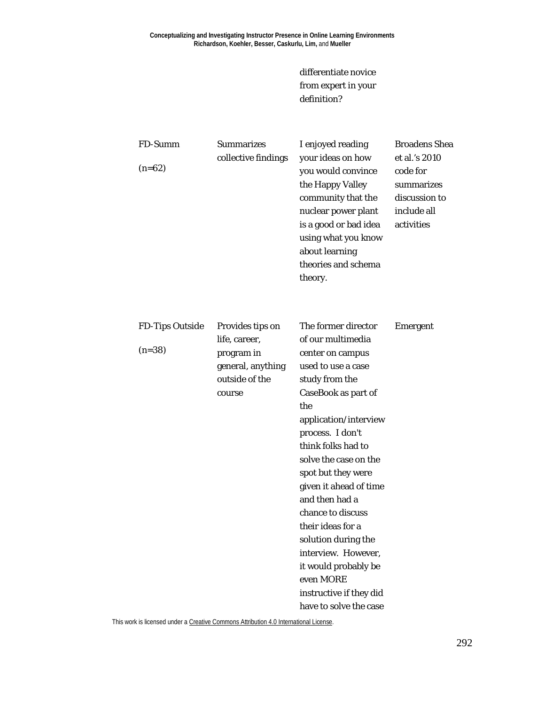differentiate novice from expert in your definition?

| FD-Summ<br>$(n=62)$                | <b>Summarizes</b><br>collective findings                                                         | I enjoyed reading<br>your ideas on how<br>you would convince<br>the Happy Valley<br>community that the<br>nuclear power plant<br>is a good or bad idea<br>using what you know<br>about learning<br>theories and schema<br>theory.                                                                                                                                                                                                                                                  | <b>Broadens Shea</b><br>et al.'s 2010<br>code for<br>summarizes<br>discussion to<br>include all<br>activities |
|------------------------------------|--------------------------------------------------------------------------------------------------|------------------------------------------------------------------------------------------------------------------------------------------------------------------------------------------------------------------------------------------------------------------------------------------------------------------------------------------------------------------------------------------------------------------------------------------------------------------------------------|---------------------------------------------------------------------------------------------------------------|
| <b>FD-Tips Outside</b><br>$(n=38)$ | Provides tips on<br>life, career,<br>program in<br>general, anything<br>outside of the<br>course | The former director<br>of our multimedia<br>center on campus<br>used to use a case<br>study from the<br>CaseBook as part of<br>the<br>application/interview<br>process. I don't<br>think folks had to<br>solve the case on the<br>spot but they were<br>given it ahead of time<br>and then had a<br>chance to discuss<br>their ideas for a<br>solution during the<br>interview. However,<br>it would probably be<br>even MORE<br>instructive if they did<br>have to solve the case | <b>Emergent</b>                                                                                               |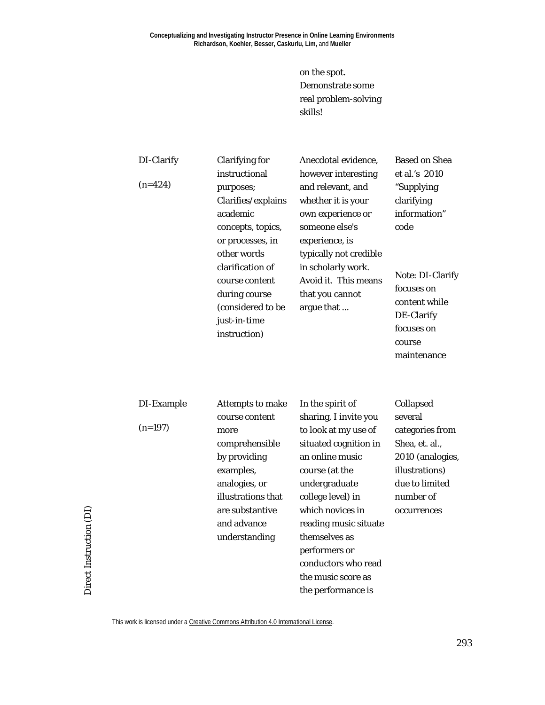on the spot. Demonstrate some real problem-solving skills!

| DI-Clarify | <b>Clarifying for</b>                                                                                    | Anecdotal evidence,                                                                                                        | <b>Based on Shea</b>                                                                                 |
|------------|----------------------------------------------------------------------------------------------------------|----------------------------------------------------------------------------------------------------------------------------|------------------------------------------------------------------------------------------------------|
|            | instructional                                                                                            | however interesting                                                                                                        | et al.'s 2010                                                                                        |
| $(n=424)$  | purposes;<br>Clarifies/explains<br>academic<br>concepts, topics,<br>or processes, in<br>other words      | and relevant, and<br>whether it is your<br>own experience or<br>someone else's<br>experience, is<br>typically not credible | "Supplying<br>clarifying<br>information"<br>code                                                     |
|            | clarification of<br>course content<br>during course<br>(considered to be<br>just-in-time<br>instruction) | in scholarly work.<br>Avoid it. This means<br>that you cannot<br>argue that                                                | Note: DI-Clarify<br>focuses on<br>content while<br>DE-Clarify<br>focuses on<br>course<br>maintenance |

| DI-Example | Attempts to make   | In the spirit of      | Collapsed        |
|------------|--------------------|-----------------------|------------------|
|            | course content     | sharing, I invite you | several          |
| $(n=197)$  | more               | to look at my use of  | categories from  |
|            | comprehensible     | situated cognition in | Shea, et. al.,   |
|            | by providing       | an online music       | 2010 (analogies, |
|            | examples,          | course (at the        | illustrations)   |
|            | analogies, or      | undergraduate         | due to limited   |
|            | illustrations that | college level) in     | number of        |
|            | are substantive    | which novices in      | occurrences      |
|            | and advance        | reading music situate |                  |
|            | understanding      | themselves as         |                  |
|            |                    | performers or         |                  |
|            |                    | conductors who read   |                  |
|            |                    | the music score as    |                  |
|            |                    | the performance is    |                  |

This work is licensed under [a Creative Commons Attribution 4.0 International License.](http://creativecommons.org/licenses/by/4.0/)

Direct Instruction (DI)

Direct Instruction (DI)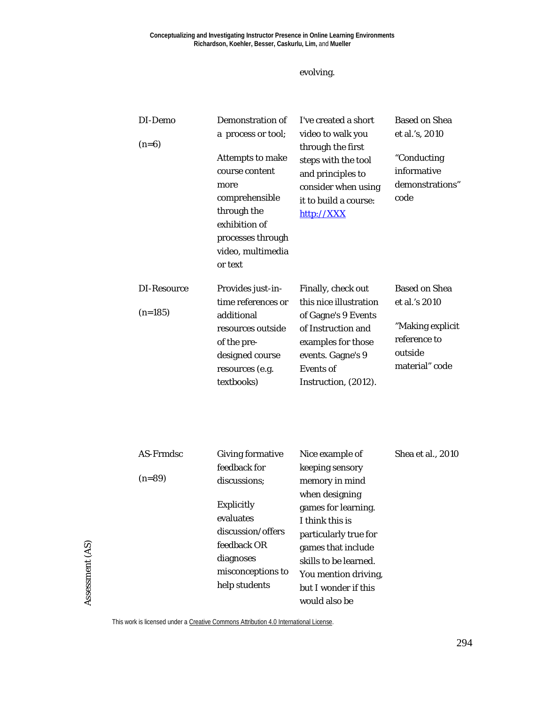### evolving.

| DI-Demo<br>$(n=6)$       | Demonstration of<br>a process or tool;<br>Attempts to make<br>course content<br>more<br>comprehensible<br>through the<br>exhibition of<br>processes through<br>video, multimedia<br>or text | I've created a short<br>video to walk you<br>through the first<br>steps with the tool<br>and principles to<br>consider when using<br>it to build a course:<br>http://XXX         | <b>Based on Shea</b><br>et al.'s, 2010<br>"Conducting<br>informative<br>demonstrations"<br>code        |
|--------------------------|---------------------------------------------------------------------------------------------------------------------------------------------------------------------------------------------|----------------------------------------------------------------------------------------------------------------------------------------------------------------------------------|--------------------------------------------------------------------------------------------------------|
| DI-Resource<br>$(n=185)$ | Provides just-in-<br>time references or<br>additional<br>resources outside<br>of the pre-<br>designed course<br>resources (e.g.<br>textbooks)                                               | Finally, check out<br>this nice illustration<br>of Gagne's 9 Events<br>of Instruction and<br>examples for those<br>events. Gagne's 9<br><b>Events</b> of<br>Instruction, (2012). | <b>Based on Shea</b><br>et al.'s 2010<br>"Making explicit<br>reference to<br>outside<br>material" code |

| AS-Frmdsc | <b>Giving formative</b> | Nice example of       | Shea et al., 2010 |
|-----------|-------------------------|-----------------------|-------------------|
|           | feedback for            | keeping sensory       |                   |
| $(n=89)$  | discussions:            | memory in mind        |                   |
|           |                         | when designing        |                   |
|           | <b>Explicitly</b>       | games for learning.   |                   |
|           | evaluates               | I think this is       |                   |
|           | discussion/offers       | particularly true for |                   |
|           | feedback OR             | games that include    |                   |
|           | diagnoses               | skills to be learned. |                   |
|           | misconceptions to       | You mention driving,  |                   |
|           | help students           | but I wonder if this  |                   |
|           |                         | would also be         |                   |

Assessment (AS) Assessment (AS)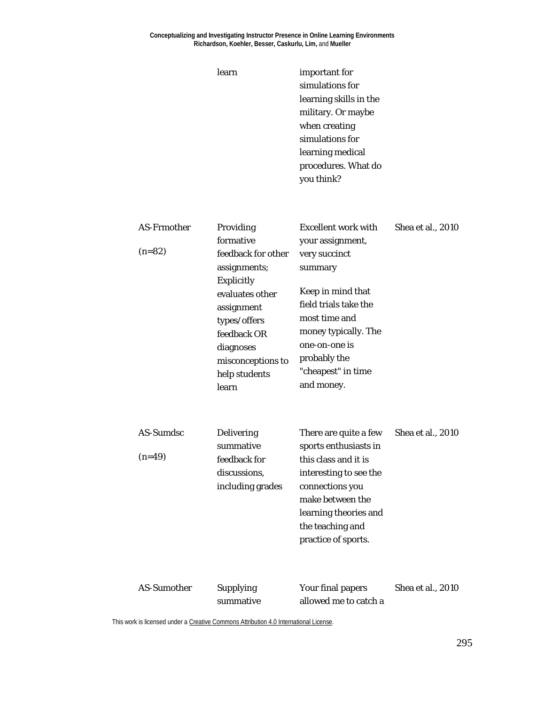#### **Conceptualizing and Investigating Instructor Presence in Online Learning Environments Richardson, Koehler, Besser, Caskurlu, Lim,** and **Mueller**

learn

| important for          |
|------------------------|
| simulations for        |
| learning skills in the |
| military. Or maybe     |
| when creating          |
| simulations for        |
| learning medical       |
| procedures. What do    |
| you think?             |

| <b>AS-Frmother</b><br>$(n=82)$ | Providing<br>formative<br>feedback for other<br>assignments;<br><b>Explicitly</b><br>evaluates other<br>assignment<br>types/offers<br>feedback OR<br>diagnoses<br>misconceptions to<br>help students<br>learn | <b>Excellent work with</b><br>your assignment,<br>very succinct<br>summary<br>Keep in mind that<br>field trials take the<br>most time and<br>money typically. The<br>one-on-one is<br>probably the<br>"cheapest" in time<br>and money. | Shea et al., 2010 |
|--------------------------------|---------------------------------------------------------------------------------------------------------------------------------------------------------------------------------------------------------------|----------------------------------------------------------------------------------------------------------------------------------------------------------------------------------------------------------------------------------------|-------------------|
| AS-Sumdsc<br>$(n=49)$          | <b>Delivering</b><br>summative<br>feedback for<br>discussions,<br>including grades                                                                                                                            | There are quite a few<br>sports enthusiasts in<br>this class and it is<br>interesting to see the<br>connections you<br>make between the<br>learning theories and<br>the teaching and<br>practice of sports.                            | Shea et al., 2010 |
| <b>AS-Sumother</b>             | <b>Supplying</b><br>summative                                                                                                                                                                                 | Your final papers<br>allowed me to catch a                                                                                                                                                                                             | Shea et al., 2010 |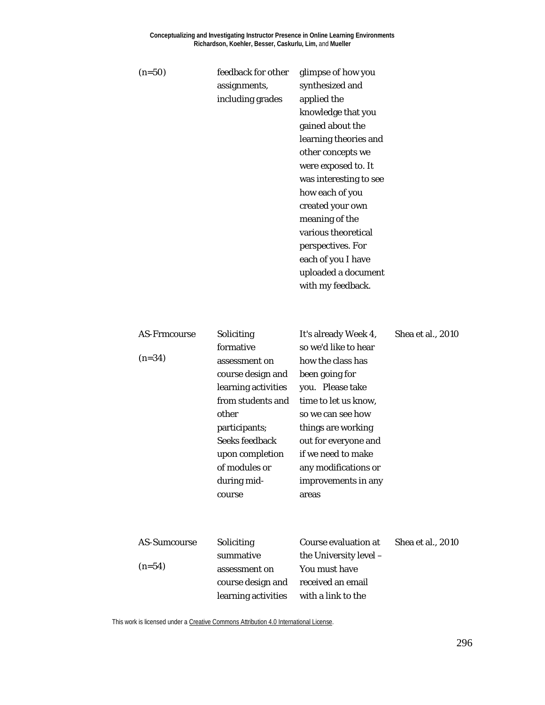| $(n=50)$                        | feedback for other<br>assignments,<br>including grades                                                                                                                                                                    | glimpse of how you<br>synthesized and<br>applied the<br>knowledge that you<br>gained about the<br>learning theories and<br>other concepts we<br>were exposed to. It<br>was interesting to see<br>how each of you<br>created your own<br>meaning of the<br>various theoretical<br>perspectives. For<br>each of you I have<br>uploaded a document<br>with my feedback. |                   |
|---------------------------------|---------------------------------------------------------------------------------------------------------------------------------------------------------------------------------------------------------------------------|----------------------------------------------------------------------------------------------------------------------------------------------------------------------------------------------------------------------------------------------------------------------------------------------------------------------------------------------------------------------|-------------------|
| <b>AS-Frmcourse</b><br>$(n=34)$ | Soliciting<br>formative<br>assessment on<br>course design and<br>learning activities<br>from students and<br>other<br>participants;<br><b>Seeks feedback</b><br>upon completion<br>of modules or<br>during mid-<br>course | It's already Week 4,<br>so we'd like to hear<br>how the class has<br>been going for<br>you. Please take<br>time to let us know,<br>so we can see how<br>things are working<br>out for everyone and<br>if we need to make<br>any modifications or<br>improvements in any<br>areas                                                                                     | Shea et al., 2010 |
| <b>AS-Sumcourse</b><br>$(n=54)$ | Soliciting<br>summative<br>assessment on<br>course design and                                                                                                                                                             | <b>Course evaluation at</b><br>the University level -<br>You must have<br>received an email                                                                                                                                                                                                                                                                          | Shea et al., 2010 |

learning activities with a link to the